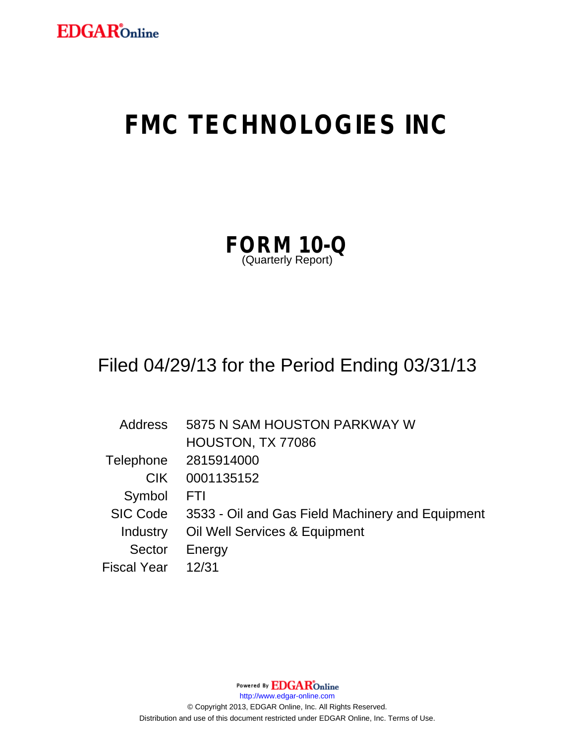

# **FMC TECHNOLOGIES INC**

| <b>FORM 10-Q</b>   |  |  |
|--------------------|--|--|
| (Quarterly Report) |  |  |

# Filed 04/29/13 for the Period Ending 03/31/13

| Address         | 5875 N SAM HOUSTON PARKWAY W                     |
|-----------------|--------------------------------------------------|
|                 | HOUSTON, TX 77086                                |
|                 | Telephone 2815914000                             |
| CIK.            | 0001135152                                       |
| Symbol          | <b>FTI</b>                                       |
| <b>SIC Code</b> | 3533 - Oil and Gas Field Machinery and Equipment |
| Industry        | Oil Well Services & Equipment                    |
| Sector          | Energy                                           |
| Fiscal Year     | 12/31                                            |

Powered By **EDGAR**Online

http://www.edgar-online.com

© Copyright 2013, EDGAR Online, Inc. All Rights Reserved. Distribution and use of this document restricted under EDGAR Online, Inc. Terms of Use.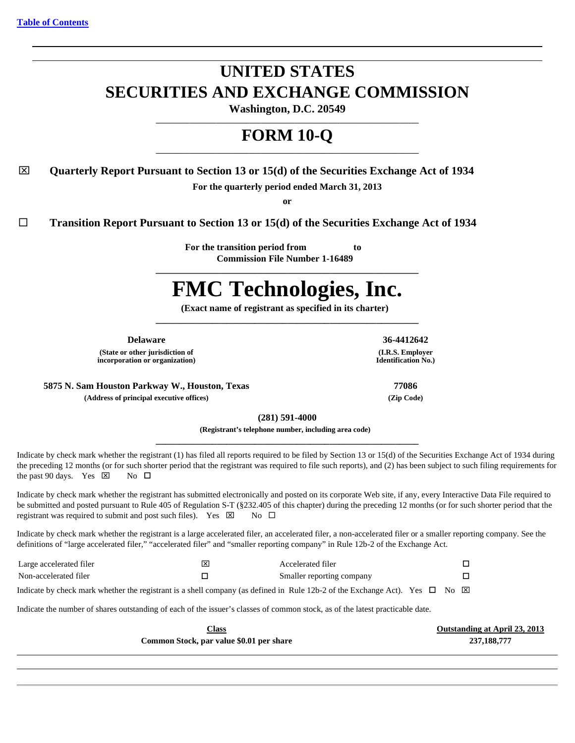# **UNITED STATES SECURITIES AND EXCHANGE COMMISSION**

**Washington, D.C. 20549 \_\_\_\_\_\_\_\_\_\_\_\_\_\_\_\_\_\_\_\_\_\_\_\_\_\_\_\_\_\_\_\_\_\_\_\_\_\_\_\_\_\_\_\_\_\_\_\_\_\_\_\_\_\_\_\_\_\_\_\_\_\_\_\_\_\_\_\_\_\_** 

# **FORM 10-Q \_\_\_\_\_\_\_\_\_\_\_\_\_\_\_\_\_\_\_\_\_\_\_\_\_\_\_\_\_\_\_\_\_\_\_\_\_\_\_\_\_\_\_\_\_\_\_\_\_\_\_\_\_\_\_\_\_\_\_\_\_\_\_\_\_\_\_\_\_\_**

**Quarterly Report Pursuant to Section 13 or 15(d) of the Securities Exchange Act of 1934** 

**For the quarterly period ended March 31, 2013** 

**or** 

**Transition Report Pursuant to Section 13 or 15(d) of the Securities Exchange Act of 1934** 

**For the transition period from to Commission File Number 1-16489** 

# **FMC Technologies, Inc.**

**\_\_\_\_\_\_\_\_\_\_\_\_\_\_\_\_\_\_\_\_\_\_\_\_\_\_\_\_\_\_\_\_\_\_\_\_\_\_\_\_\_\_\_\_\_\_\_\_\_\_\_\_\_\_\_\_** 

**(Exact name of registrant as specified in its charter) \_\_\_\_\_\_\_\_\_\_\_\_\_\_\_\_\_\_\_\_\_\_\_\_\_\_\_\_\_\_\_\_\_\_\_\_\_\_\_\_\_\_\_\_\_\_\_\_\_\_\_\_\_\_\_\_** 

**Delaware 36-4412642** 

**(State or other jurisdiction of incorporation or organization)** 

**5875 N. Sam Houston Parkway W., Houston, Texas 77086 (Address of principal executive offices) (Zip Code)** 

**(281) 591-4000** 

**(Registrant's telephone number, including area code) \_\_\_\_\_\_\_\_\_\_\_\_\_\_\_\_\_\_\_\_\_\_\_\_\_\_\_\_\_\_\_\_\_\_\_\_\_\_\_\_\_\_\_\_\_\_\_\_\_\_\_\_\_\_\_\_** 

Indicate by check mark whether the registrant (1) has filed all reports required to be filed by Section 13 or 15(d) of the Securities Exchange Act of 1934 during the preceding 12 months (or for such shorter period that the registrant was required to file such reports), and (2) has been subject to such filing requirements for the past 90 days. Yes  $\boxtimes$  No  $\square$ 

Indicate by check mark whether the registrant has submitted electronically and posted on its corporate Web site, if any, every Interactive Data File required to be submitted and posted pursuant to Rule 405 of Regulation S-T (§232.405 of this chapter) during the preceding 12 months (or for such shorter period that the registrant was required to submit and post such files). Yes  $\boxtimes$  No  $\square$ 

Indicate by check mark whether the registrant is a large accelerated filer, an accelerated filer, a non-accelerated filer or a smaller reporting company. See the definitions of "large accelerated filer," "accelerated filer" and "smaller reporting company" in Rule 12b-2 of the Exchange Act.

| Large accelerated filer | ᆓ | Accelerated filer                                 |  |
|-------------------------|---|---------------------------------------------------|--|
| Non-accelerated filer   |   | Smaller reporting company                         |  |
|                         |   | $\lambda$ is it primary and $\lambda$<br>$\cdots$ |  |

Indicate by check mark whether the registrant is a shell company (as defined in Rule 12b-2 of the Exchange Act). Yes  $\Box$  No  $\boxtimes$ 

Indicate the number of shares outstanding of each of the issuer's classes of common stock, as of the latest practicable date.

| Class                                    | Outstanding at April 23, 2013 |
|------------------------------------------|-------------------------------|
| Common Stock, par value \$0.01 per share | 237,188,777                   |

**(I.R.S. Employer Identification No.)**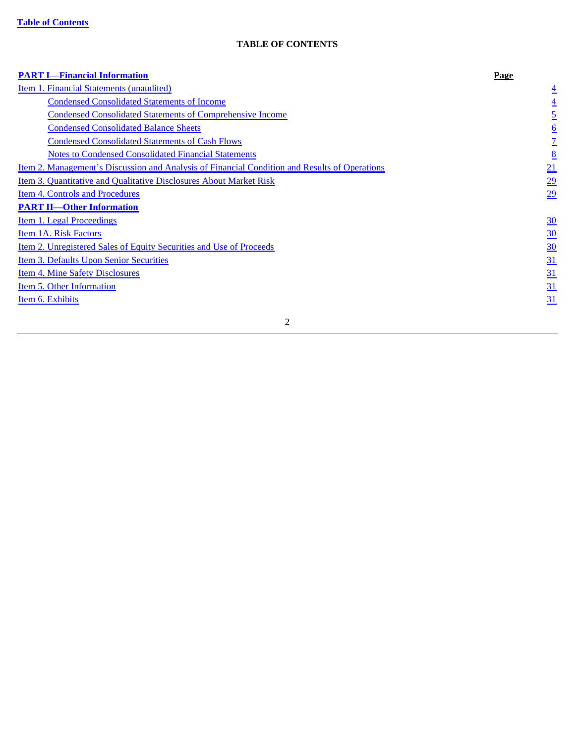# **TABLE OF CONTENTS**

| <b>PART I-Financial Information</b>                                                           | Page             |
|-----------------------------------------------------------------------------------------------|------------------|
| Item 1. Financial Statements (unaudited)                                                      | $\overline{4}$   |
| <b>Condensed Consolidated Statements of Income</b>                                            | 4                |
| <b>Condensed Consolidated Statements of Comprehensive Income</b>                              |                  |
| <b>Condensed Consolidated Balance Sheets</b>                                                  | <u>6</u>         |
| <b>Condensed Consolidated Statements of Cash Flows</b>                                        |                  |
| <b>Notes to Condensed Consolidated Financial Statements</b>                                   | 8                |
| Item 2. Management's Discussion and Analysis of Financial Condition and Results of Operations | 21               |
| Item 3. Quantitative and Qualitative Disclosures About Market Risk                            | 29               |
| Item 4. Controls and Procedures                                                               | 29               |
| <b>PART II-Other Information</b>                                                              |                  |
| Item 1. Legal Proceedings                                                                     | $\underline{30}$ |
| <b>Item 1A. Risk Factors</b>                                                                  | $\underline{30}$ |
| <u>Item 2. Unregistered Sales of Equity Securities and Use of Proceeds</u>                    | $\frac{30}{5}$   |
| Item 3. Defaults Upon Senior Securities                                                       | 31               |
| <b>Item 4. Mine Safety Disclosures</b>                                                        | 31               |
| <u>Item 5. Other Information</u>                                                              | 31               |
| Item 6. Exhibits                                                                              | 31               |
|                                                                                               |                  |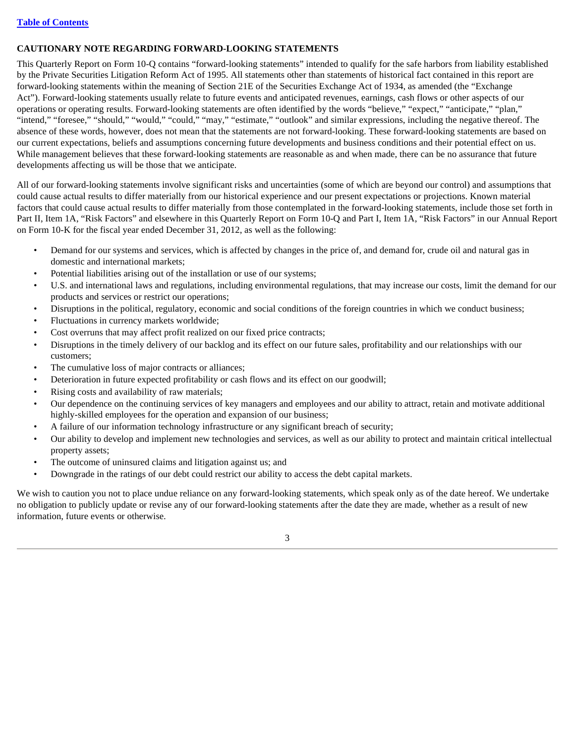#### **CAUTIONARY NOTE REGARDING FORWARD-LOOKING STATEMENTS**

This Quarterly Report on Form 10-Q contains "forward-looking statements" intended to qualify for the safe harbors from liability established by the Private Securities Litigation Reform Act of 1995. All statements other than statements of historical fact contained in this report are forward-looking statements within the meaning of Section 21E of the Securities Exchange Act of 1934, as amended (the "Exchange Act"). Forward-looking statements usually relate to future events and anticipated revenues, earnings, cash flows or other aspects of our operations or operating results. Forward-looking statements are often identified by the words "believe," "expect," "anticipate," "plan," "intend," "foresee," "should," "would," "could," "may," "estimate," "outlook" and similar expressions, including the negative thereof. The absence of these words, however, does not mean that the statements are not forward-looking. These forward-looking statements are based on our current expectations, beliefs and assumptions concerning future developments and business conditions and their potential effect on us. While management believes that these forward-looking statements are reasonable as and when made, there can be no assurance that future developments affecting us will be those that we anticipate.

All of our forward-looking statements involve significant risks and uncertainties (some of which are beyond our control) and assumptions that could cause actual results to differ materially from our historical experience and our present expectations or projections. Known material factors that could cause actual results to differ materially from those contemplated in the forward-looking statements, include those set forth in Part II, Item 1A, "Risk Factors" and elsewhere in this Quarterly Report on Form 10-Q and Part I, Item 1A, "Risk Factors" in our Annual Report on Form 10-K for the fiscal year ended December 31, 2012, as well as the following:

- Demand for our systems and services, which is affected by changes in the price of, and demand for, crude oil and natural gas in domestic and international markets;
- Potential liabilities arising out of the installation or use of our systems;
- U.S. and international laws and regulations, including environmental regulations, that may increase our costs, limit the demand for our products and services or restrict our operations;
- Disruptions in the political, regulatory, economic and social conditions of the foreign countries in which we conduct business;
- Fluctuations in currency markets worldwide;
- Cost overruns that may affect profit realized on our fixed price contracts;
- Disruptions in the timely delivery of our backlog and its effect on our future sales, profitability and our relationships with our customers;
- The cumulative loss of major contracts or alliances;
- Deterioration in future expected profitability or cash flows and its effect on our goodwill;
- Rising costs and availability of raw materials;
- Our dependence on the continuing services of key managers and employees and our ability to attract, retain and motivate additional highly-skilled employees for the operation and expansion of our business;
- A failure of our information technology infrastructure or any significant breach of security;
- Our ability to develop and implement new technologies and services, as well as our ability to protect and maintain critical intellectual property assets;
- The outcome of uninsured claims and litigation against us; and
- Downgrade in the ratings of our debt could restrict our ability to access the debt capital markets.

We wish to caution you not to place undue reliance on any forward-looking statements, which speak only as of the date hereof. We undertake no obligation to publicly update or revise any of our forward-looking statements after the date they are made, whether as a result of new information, future events or otherwise.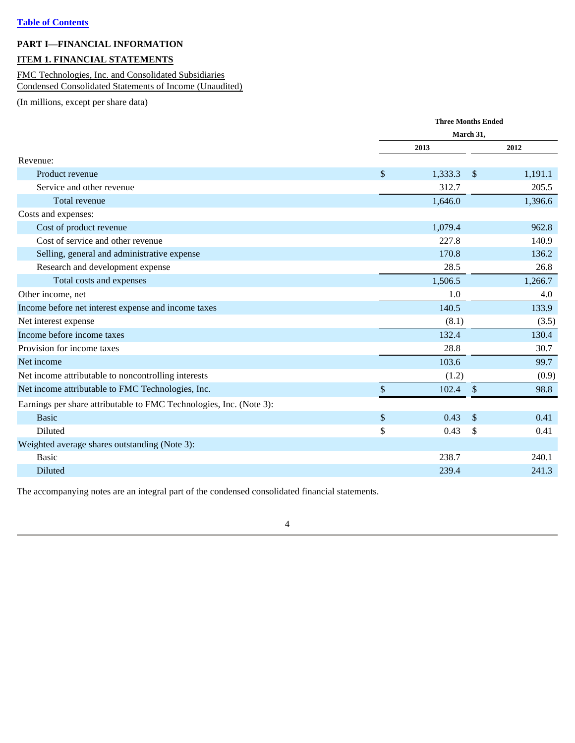### **PART I—FINANCIAL INFORMATION**

## **ITEM 1. FINANCIAL STATEMENTS**

#### FMC Technologies, Inc. and Consolidated Subsidiaries Condensed Consolidated Statements of Income (Unaudited)

(In millions, except per share data)

|                                                                     |                           | <b>Three Months Ended</b> |               |         |  |
|---------------------------------------------------------------------|---------------------------|---------------------------|---------------|---------|--|
|                                                                     | March 31,                 |                           |               |         |  |
|                                                                     |                           | 2013                      |               | 2012    |  |
| Revenue:                                                            |                           |                           |               |         |  |
| Product revenue                                                     | $\mathcal{S}$             | 1,333.3                   | <sup>\$</sup> | 1,191.1 |  |
| Service and other revenue                                           |                           | 312.7                     |               | 205.5   |  |
| Total revenue                                                       |                           | 1,646.0                   |               | 1,396.6 |  |
| Costs and expenses:                                                 |                           |                           |               |         |  |
| Cost of product revenue                                             |                           | 1,079.4                   |               | 962.8   |  |
| Cost of service and other revenue                                   |                           | 227.8                     |               | 140.9   |  |
| Selling, general and administrative expense                         |                           | 170.8                     |               | 136.2   |  |
| Research and development expense                                    |                           | 28.5                      |               | 26.8    |  |
| Total costs and expenses                                            |                           | 1,506.5                   |               | 1,266.7 |  |
| Other income, net                                                   |                           | 1.0                       |               | 4.0     |  |
| Income before net interest expense and income taxes                 |                           | 140.5                     |               | 133.9   |  |
| Net interest expense                                                |                           | (8.1)                     |               | (3.5)   |  |
| Income before income taxes                                          |                           | 132.4                     |               | 130.4   |  |
| Provision for income taxes                                          |                           | 28.8                      |               | 30.7    |  |
| Net income                                                          |                           | 103.6                     |               | 99.7    |  |
| Net income attributable to noncontrolling interests                 |                           | (1.2)                     |               | (0.9)   |  |
| Net income attributable to FMC Technologies, Inc.                   | \$                        | 102.4                     | \$            | 98.8    |  |
| Earnings per share attributable to FMC Technologies, Inc. (Note 3): |                           |                           |               |         |  |
| <b>Basic</b>                                                        | $\boldsymbol{\mathsf{S}}$ | 0.43                      | $\mathcal{S}$ | 0.41    |  |
| Diluted                                                             | \$                        | 0.43                      | \$            | 0.41    |  |
| Weighted average shares outstanding (Note 3):                       |                           |                           |               |         |  |
| <b>Basic</b>                                                        |                           | 238.7                     |               | 240.1   |  |
| Diluted                                                             |                           | 239.4                     |               | 241.3   |  |

The accompanying notes are an integral part of the condensed consolidated financial statements.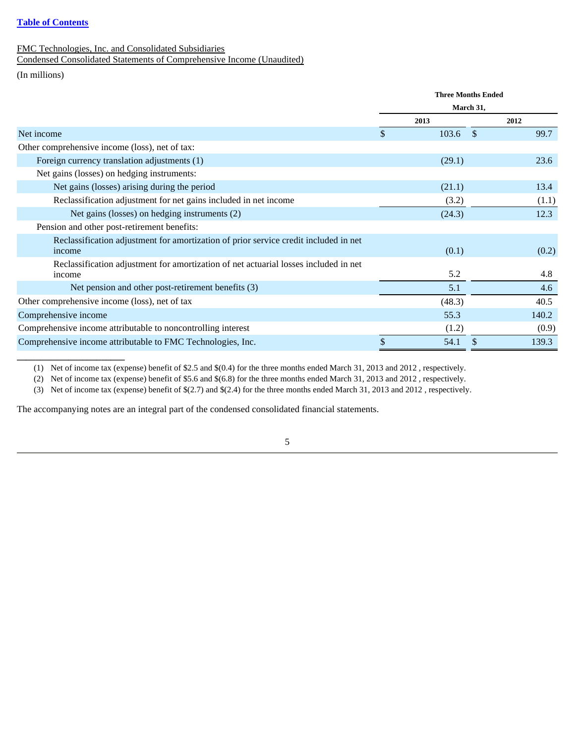**\_\_\_\_\_\_\_\_\_\_\_\_\_\_\_\_\_\_\_\_\_\_\_** 

#### FMC Technologies, Inc. and Consolidated Subsidiaries

### Condensed Consolidated Statements of Comprehensive Income (Unaudited)

(In millions)

|                                                                                                | <b>Three Months Ended</b> |           |      |       |  |
|------------------------------------------------------------------------------------------------|---------------------------|-----------|------|-------|--|
|                                                                                                |                           | March 31, |      |       |  |
|                                                                                                |                           | 2013      |      | 2012  |  |
| Net income                                                                                     | $\mathcal{S}$             | 103.6     | - \$ | 99.7  |  |
| Other comprehensive income (loss), net of tax:                                                 |                           |           |      |       |  |
| Foreign currency translation adjustments (1)                                                   |                           | (29.1)    |      | 23.6  |  |
| Net gains (losses) on hedging instruments:                                                     |                           |           |      |       |  |
| Net gains (losses) arising during the period                                                   |                           | (21.1)    |      | 13.4  |  |
| Reclassification adjustment for net gains included in net income                               |                           | (3.2)     |      | (1.1) |  |
| Net gains (losses) on hedging instruments (2)                                                  |                           | (24.3)    |      | 12.3  |  |
| Pension and other post-retirement benefits:                                                    |                           |           |      |       |  |
| Reclassification adjustment for amortization of prior service credit included in net<br>income |                           | (0.1)     |      | (0.2) |  |
| Reclassification adjustment for amortization of net actuarial losses included in net           |                           |           |      |       |  |
| income                                                                                         |                           | 5.2       |      | 4.8   |  |
| Net pension and other post-retirement benefits (3)                                             |                           | 5.1       |      | 4.6   |  |
| Other comprehensive income (loss), net of tax                                                  |                           | (48.3)    |      | 40.5  |  |
| Comprehensive income                                                                           |                           | 55.3      |      | 140.2 |  |
| Comprehensive income attributable to noncontrolling interest                                   |                           | (1.2)     |      | (0.9) |  |
| Comprehensive income attributable to FMC Technologies, Inc.                                    | \$                        | 54.1      | -S   | 139.3 |  |

(1) Net of income tax (expense) benefit of \$2.5 and \$(0.4) for the three months ended March 31, 2013 and 2012 , respectively.

(2) Net of income tax (expense) benefit of \$5.6 and \$(6.8) for the three months ended March 31, 2013 and 2012 , respectively.

(3) Net of income tax (expense) benefit of \$(2.7) and \$(2.4) for the three months ended March 31, 2013 and 2012 , respectively.

The accompanying notes are an integral part of the condensed consolidated financial statements.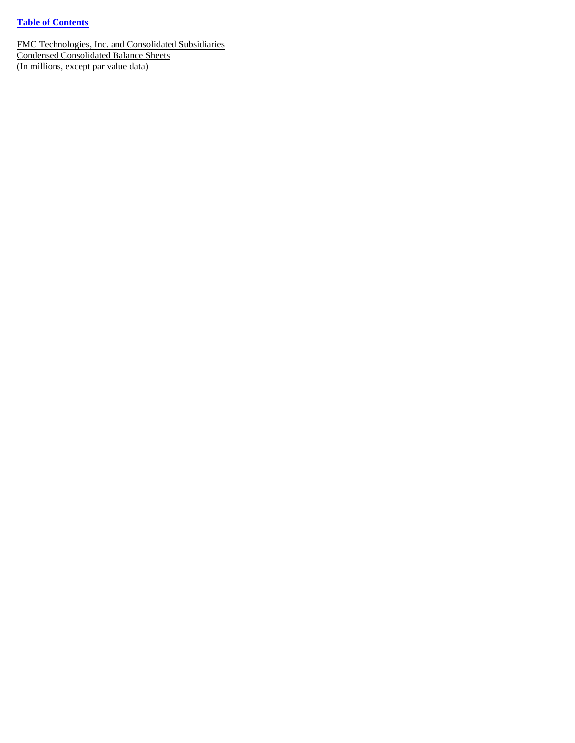FMC Technologies, Inc. and Consolidated Subsidiaries Condensed Consolidated Balance Sheets (In millions, except par value data)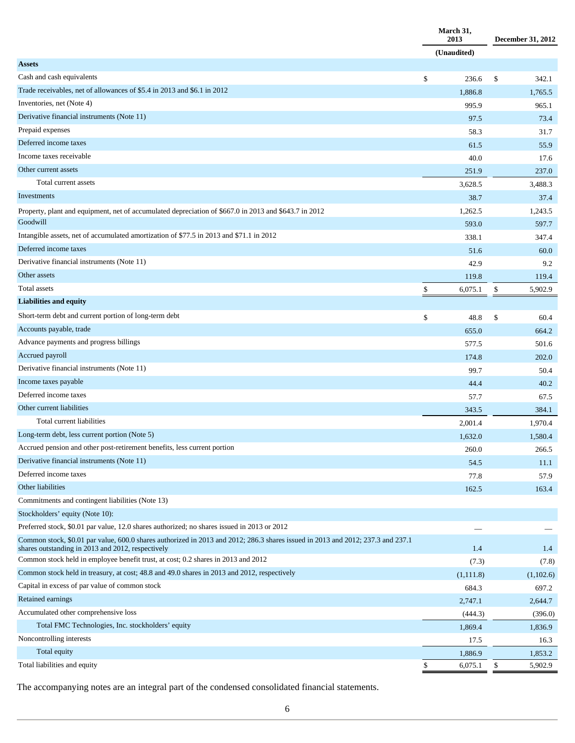|                                                                                                                                                                                      | March 31,<br>2013 |    | December 31, 2012 |  |
|--------------------------------------------------------------------------------------------------------------------------------------------------------------------------------------|-------------------|----|-------------------|--|
|                                                                                                                                                                                      | (Unaudited)       |    |                   |  |
| <b>Assets</b>                                                                                                                                                                        |                   |    |                   |  |
| Cash and cash equivalents                                                                                                                                                            | \$<br>236.6       | \$ | 342.1             |  |
| Trade receivables, net of allowances of \$5.4 in 2013 and \$6.1 in 2012                                                                                                              | 1,886.8           |    | 1,765.5           |  |
| Inventories, net (Note 4)                                                                                                                                                            | 995.9             |    | 965.1             |  |
| Derivative financial instruments (Note 11)                                                                                                                                           | 97.5              |    | 73.4              |  |
| Prepaid expenses                                                                                                                                                                     | 58.3              |    | 31.7              |  |
| Deferred income taxes                                                                                                                                                                | 61.5              |    | 55.9              |  |
| Income taxes receivable                                                                                                                                                              | 40.0              |    | 17.6              |  |
| Other current assets                                                                                                                                                                 | 251.9             |    | 237.0             |  |
| Total current assets                                                                                                                                                                 | 3,628.5           |    | 3,488.3           |  |
| Investments                                                                                                                                                                          | 38.7              |    | 37.4              |  |
| Property, plant and equipment, net of accumulated depreciation of \$667.0 in 2013 and \$643.7 in 2012                                                                                | 1,262.5           |    | 1,243.5           |  |
| Goodwill                                                                                                                                                                             | 593.0             |    | 597.7             |  |
| Intangible assets, net of accumulated amortization of \$77.5 in 2013 and \$71.1 in 2012                                                                                              | 338.1             |    | 347.4             |  |
| Deferred income taxes                                                                                                                                                                | 51.6              |    | 60.0              |  |
| Derivative financial instruments (Note 11)                                                                                                                                           | 42.9              |    | 9.2               |  |
| Other assets                                                                                                                                                                         | 119.8             |    | 119.4             |  |
| Total assets                                                                                                                                                                         | \$<br>6,075.1     | \$ | 5,902.9           |  |
| <b>Liabilities and equity</b>                                                                                                                                                        |                   |    |                   |  |
| Short-term debt and current portion of long-term debt                                                                                                                                | \$<br>48.8        | \$ | 60.4              |  |
| Accounts payable, trade                                                                                                                                                              | 655.0             |    | 664.2             |  |
| Advance payments and progress billings                                                                                                                                               | 577.5             |    | 501.6             |  |
| Accrued payroll                                                                                                                                                                      | 174.8             |    | 202.0             |  |
| Derivative financial instruments (Note 11)                                                                                                                                           | 99.7              |    | 50.4              |  |
| Income taxes payable                                                                                                                                                                 | 44.4              |    | 40.2              |  |
| Deferred income taxes                                                                                                                                                                | 57.7              |    | 67.5              |  |
| Other current liabilities                                                                                                                                                            | 343.5             |    | 384.1             |  |
| Total current liabilities                                                                                                                                                            | 2.001.4           |    | 1,970.4           |  |
| Long-term debt, less current portion (Note 5)                                                                                                                                        | 1,632.0           |    | 1.580.4           |  |
| Accrued pension and other post-retirement benefits, less current portion                                                                                                             | 260.0             |    | 266.5             |  |
| Derivative financial instruments (Note 11)                                                                                                                                           | 54.5              |    | 11.1              |  |
| Deferred income taxes                                                                                                                                                                | 77.8              |    | 57.9              |  |
| Other liabilities                                                                                                                                                                    | 162.5             |    | 163.4             |  |
| Commitments and contingent liabilities (Note 13)                                                                                                                                     |                   |    |                   |  |
| Stockholders' equity (Note 10):                                                                                                                                                      |                   |    |                   |  |
| Preferred stock, \$0.01 par value, 12.0 shares authorized; no shares issued in 2013 or 2012                                                                                          |                   |    |                   |  |
| Common stock, \$0.01 par value, 600.0 shares authorized in 2013 and 2012; 286.3 shares issued in 2013 and 2012; 237.3 and 237.1<br>shares outstanding in 2013 and 2012, respectively | 1.4               |    | 1.4               |  |
| Common stock held in employee benefit trust, at cost; 0.2 shares in 2013 and 2012                                                                                                    | (7.3)             |    | (7.8)             |  |
| Common stock held in treasury, at cost; 48.8 and 49.0 shares in 2013 and 2012, respectively                                                                                          | (1,111.8)         |    | (1,102.6)         |  |
| Capital in excess of par value of common stock                                                                                                                                       | 684.3             |    | 697.2             |  |
| Retained earnings                                                                                                                                                                    | 2,747.1           |    | 2,644.7           |  |
| Accumulated other comprehensive loss                                                                                                                                                 | (444.3)           |    | (396.0)           |  |
| Total FMC Technologies, Inc. stockholders' equity                                                                                                                                    | 1,869.4           |    | 1,836.9           |  |
| Noncontrolling interests                                                                                                                                                             | 17.5              |    | 16.3              |  |
| Total equity                                                                                                                                                                         | 1,886.9           |    | 1,853.2           |  |
| Total liabilities and equity                                                                                                                                                         | \$<br>6,075.1     | \$ | 5,902.9           |  |

The accompanying notes are an integral part of the condensed consolidated financial statements.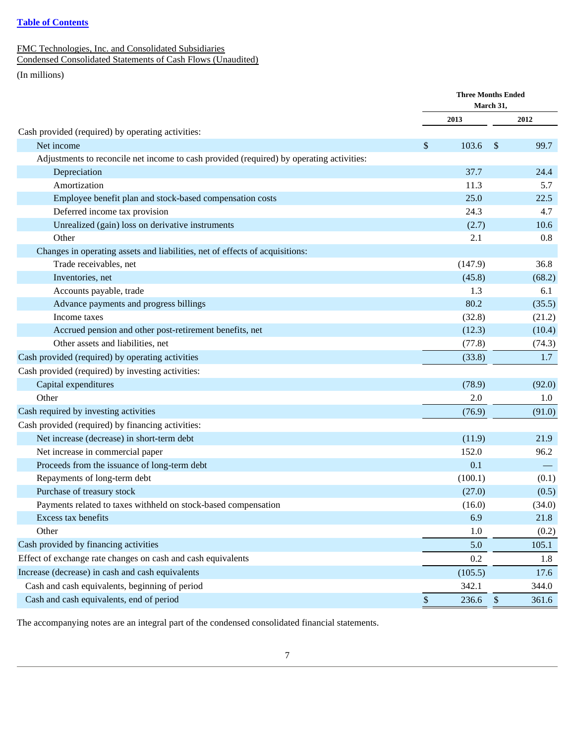# FMC Technologies, Inc. and Consolidated Subsidiaries

# Condensed Consolidated Statements of Cash Flows (Unaudited)

(In millions)

|                                                                                          | <b>Three Months Ended</b> |         |              |        |  |  |
|------------------------------------------------------------------------------------------|---------------------------|---------|--------------|--------|--|--|
|                                                                                          | March 31,                 |         |              |        |  |  |
|                                                                                          |                           | 2013    |              | 2012   |  |  |
| Cash provided (required) by operating activities:                                        |                           |         |              |        |  |  |
| Net income                                                                               | \$                        | 103.6   | $\mathbb{S}$ | 99.7   |  |  |
| Adjustments to reconcile net income to cash provided (required) by operating activities: |                           |         |              |        |  |  |
| Depreciation                                                                             |                           | 37.7    |              | 24.4   |  |  |
| Amortization                                                                             |                           | 11.3    |              | 5.7    |  |  |
| Employee benefit plan and stock-based compensation costs                                 |                           | 25.0    |              | 22.5   |  |  |
| Deferred income tax provision                                                            |                           | 24.3    |              | 4.7    |  |  |
| Unrealized (gain) loss on derivative instruments                                         |                           | (2.7)   |              | 10.6   |  |  |
| Other                                                                                    |                           | 2.1     |              | 0.8    |  |  |
| Changes in operating assets and liabilities, net of effects of acquisitions:             |                           |         |              |        |  |  |
| Trade receivables, net                                                                   |                           | (147.9) |              | 36.8   |  |  |
| Inventories, net                                                                         |                           | (45.8)  |              | (68.2) |  |  |
| Accounts payable, trade                                                                  |                           | 1.3     |              | 6.1    |  |  |
| Advance payments and progress billings                                                   |                           | 80.2    |              | (35.5) |  |  |
| Income taxes                                                                             |                           | (32.8)  |              | (21.2) |  |  |
| Accrued pension and other post-retirement benefits, net                                  |                           | (12.3)  |              | (10.4) |  |  |
| Other assets and liabilities, net                                                        |                           | (77.8)  |              | (74.3) |  |  |
| Cash provided (required) by operating activities                                         |                           | (33.8)  |              | 1.7    |  |  |
| Cash provided (required) by investing activities:                                        |                           |         |              |        |  |  |
| Capital expenditures                                                                     |                           | (78.9)  |              | (92.0) |  |  |
| Other                                                                                    |                           | 2.0     |              | 1.0    |  |  |
| Cash required by investing activities                                                    |                           | (76.9)  |              | (91.0) |  |  |
| Cash provided (required) by financing activities:                                        |                           |         |              |        |  |  |
| Net increase (decrease) in short-term debt                                               |                           | (11.9)  |              | 21.9   |  |  |
| Net increase in commercial paper                                                         |                           | 152.0   |              | 96.2   |  |  |
| Proceeds from the issuance of long-term debt                                             |                           | 0.1     |              |        |  |  |
| Repayments of long-term debt                                                             |                           | (100.1) |              | (0.1)  |  |  |
| Purchase of treasury stock                                                               |                           | (27.0)  |              | (0.5)  |  |  |
| Payments related to taxes withheld on stock-based compensation                           |                           | (16.0)  |              | (34.0) |  |  |
| Excess tax benefits                                                                      |                           | 6.9     |              | 21.8   |  |  |
| Other                                                                                    |                           | 1.0     |              | (0.2)  |  |  |
| Cash provided by financing activities                                                    |                           | 5.0     |              | 105.1  |  |  |
| Effect of exchange rate changes on cash and cash equivalents                             |                           | 0.2     |              | 1.8    |  |  |
| Increase (decrease) in cash and cash equivalents                                         |                           | (105.5) |              | 17.6   |  |  |
| Cash and cash equivalents, beginning of period                                           |                           | 342.1   |              | 344.0  |  |  |
| Cash and cash equivalents, end of period                                                 | $\sqrt$                   | 236.6   | $\sqrt{\ }$  | 361.6  |  |  |

The accompanying notes are an integral part of the condensed consolidated financial statements.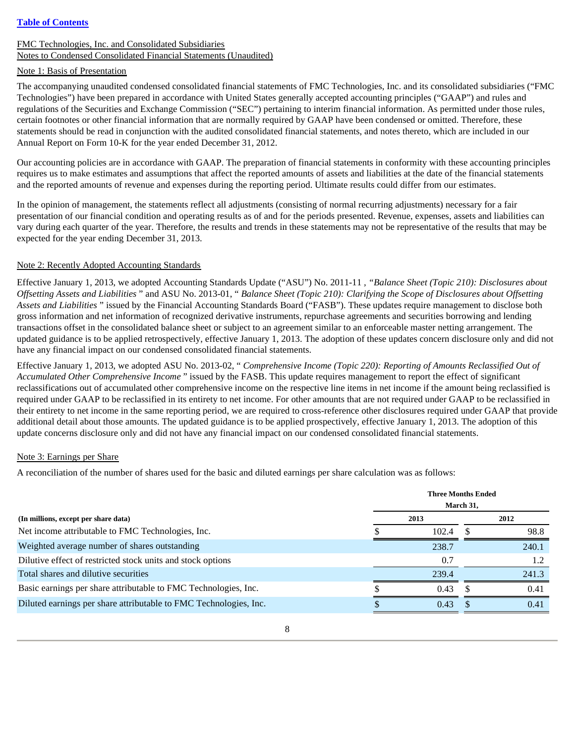# FMC Technologies, Inc. and Consolidated Subsidiaries Notes to Condensed Consolidated Financial Statements (Unaudited)

# Note 1: Basis of Presentation

The accompanying unaudited condensed consolidated financial statements of FMC Technologies, Inc. and its consolidated subsidiaries ("FMC Technologies") have been prepared in accordance with United States generally accepted accounting principles ("GAAP") and rules and regulations of the Securities and Exchange Commission ("SEC") pertaining to interim financial information. As permitted under those rules, certain footnotes or other financial information that are normally required by GAAP have been condensed or omitted. Therefore, these statements should be read in conjunction with the audited consolidated financial statements, and notes thereto, which are included in our Annual Report on Form 10-K for the year ended December 31, 2012.

Our accounting policies are in accordance with GAAP. The preparation of financial statements in conformity with these accounting principles requires us to make estimates and assumptions that affect the reported amounts of assets and liabilities at the date of the financial statements and the reported amounts of revenue and expenses during the reporting period. Ultimate results could differ from our estimates.

In the opinion of management, the statements reflect all adjustments (consisting of normal recurring adjustments) necessary for a fair presentation of our financial condition and operating results as of and for the periods presented. Revenue, expenses, assets and liabilities can vary during each quarter of the year. Therefore, the results and trends in these statements may not be representative of the results that may be expected for the year ending December 31, 2013.

### Note 2: Recently Adopted Accounting Standards

Effective January 1, 2013, we adopted Accounting Standards Update ("ASU") No. 2011-11 *, "Balance Sheet (Topic 210): Disclosures about Offsetting Assets and Liabilities* " and ASU No. 2013-01, " *Balance Sheet (Topic 210): Clarifying the Scope of Disclosures about Offsetting Assets and Liabilities* " issued by the Financial Accounting Standards Board ("FASB"). These updates require management to disclose both gross information and net information of recognized derivative instruments, repurchase agreements and securities borrowing and lending transactions offset in the consolidated balance sheet or subject to an agreement similar to an enforceable master netting arrangement. The updated guidance is to be applied retrospectively, effective January 1, 2013. The adoption of these updates concern disclosure only and did not have any financial impact on our condensed consolidated financial statements.

Effective January 1, 2013, we adopted ASU No. 2013-02, " *Comprehensive Income (Topic 220): Reporting of Amounts Reclassified Out of Accumulated Other Comprehensive Income* " issued by the FASB. This update requires management to report the effect of significant reclassifications out of accumulated other comprehensive income on the respective line items in net income if the amount being reclassified is required under GAAP to be reclassified in its entirety to net income. For other amounts that are not required under GAAP to be reclassified in their entirety to net income in the same reporting period, we are required to cross-reference other disclosures required under GAAP that provide additional detail about those amounts. The updated guidance is to be applied prospectively, effective January 1, 2013. The adoption of this update concerns disclosure only and did not have any financial impact on our condensed consolidated financial statements.

### Note 3: Earnings per Share

A reconciliation of the number of shares used for the basic and diluted earnings per share calculation was as follows:

|                                                                   | <b>Three Months Ended</b><br>March 31, |       |  |       |  |
|-------------------------------------------------------------------|----------------------------------------|-------|--|-------|--|
| (In millions, except per share data)                              |                                        | 2013  |  |       |  |
| Net income attributable to FMC Technologies, Inc.                 |                                        | 102.4 |  | 98.8  |  |
| Weighted average number of shares outstanding                     |                                        | 238.7 |  | 240.1 |  |
| Dilutive effect of restricted stock units and stock options       |                                        | 0.7   |  | 1.2   |  |
| Total shares and dilutive securities                              |                                        | 239.4 |  | 241.3 |  |
| Basic earnings per share attributable to FMC Technologies, Inc.   |                                        | 0.43  |  | 0.41  |  |
| Diluted earnings per share attributable to FMC Technologies, Inc. |                                        | 0.43  |  | 0.41  |  |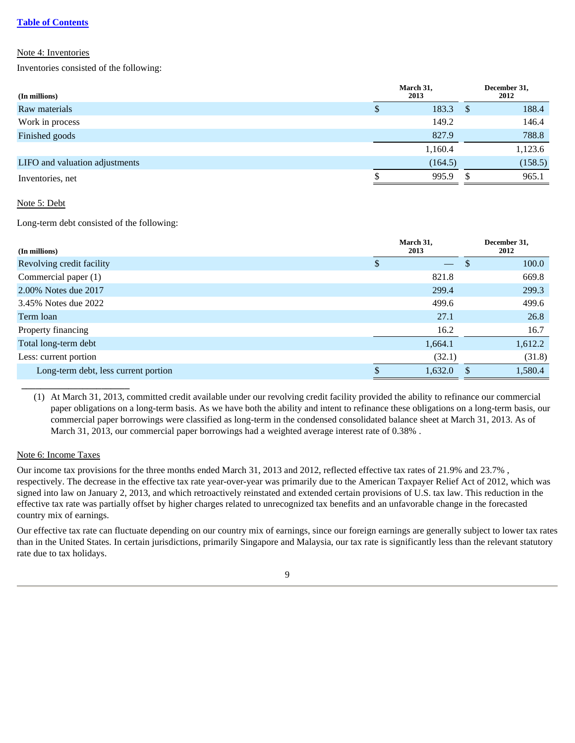#### Note 4: Inventories

Inventories consisted of the following:

| (In millions)                  |   | March 31,<br>2013 | December 31,<br>2012 |         |  |
|--------------------------------|---|-------------------|----------------------|---------|--|
| Raw materials                  | D | 183.3             |                      | 188.4   |  |
| Work in process                |   | 149.2             |                      | 146.4   |  |
| Finished goods                 |   | 827.9             |                      | 788.8   |  |
|                                |   | 1,160.4           |                      | 1,123.6 |  |
| LIFO and valuation adjustments |   | (164.5)           |                      | (158.5) |  |
| Inventories, net               |   | 995.9             |                      | 965.1   |  |

#### Note 5: Debt

Long-term debt consisted of the following:

| (In millions)                        | March 31,<br>2013 |         | December 31,<br>2012 |         |
|--------------------------------------|-------------------|---------|----------------------|---------|
| Revolving credit facility            | Φ                 |         |                      | 100.0   |
| Commercial paper (1)                 |                   | 821.8   |                      | 669.8   |
| 2.00% Notes due 2017                 |                   | 299.4   |                      | 299.3   |
| 3.45% Notes due 2022                 |                   | 499.6   |                      | 499.6   |
| Term loan                            |                   | 27.1    |                      | 26.8    |
| Property financing                   |                   | 16.2    |                      | 16.7    |
| Total long-term debt                 |                   | 1,664.1 |                      | 1,612.2 |
| Less: current portion                |                   | (32.1)  |                      | (31.8)  |
| Long-term debt, less current portion |                   | 1,632.0 |                      | 1,580.4 |

(1) At March 31, 2013, committed credit available under our revolving credit facility provided the ability to refinance our commercial paper obligations on a long-term basis. As we have both the ability and intent to refinance these obligations on a long-term basis, our commercial paper borrowings were classified as long-term in the condensed consolidated balance sheet at March 31, 2013. As of March 31, 2013, our commercial paper borrowings had a weighted average interest rate of 0.38%.

#### Note 6: Income Taxes

**\_\_\_\_\_\_\_\_\_\_\_\_\_\_\_\_\_\_\_\_\_\_\_** 

Our income tax provisions for the three months ended March 31, 2013 and 2012, reflected effective tax rates of 21.9% and 23.7% , respectively. The decrease in the effective tax rate year-over-year was primarily due to the American Taxpayer Relief Act of 2012, which was signed into law on January 2, 2013, and which retroactively reinstated and extended certain provisions of U.S. tax law. This reduction in the effective tax rate was partially offset by higher charges related to unrecognized tax benefits and an unfavorable change in the forecasted country mix of earnings.

Our effective tax rate can fluctuate depending on our country mix of earnings, since our foreign earnings are generally subject to lower tax rates than in the United States. In certain jurisdictions, primarily Singapore and Malaysia, our tax rate is significantly less than the relevant statutory rate due to tax holidays.

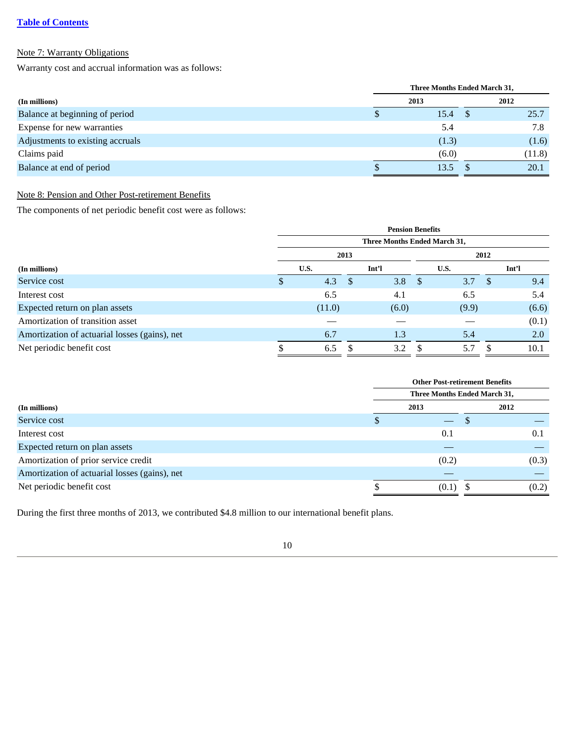## Note 7: Warranty Obligations

Warranty cost and accrual information was as follows:

|                                  | Three Months Ended March 31, |       |  |        |  |  |  |
|----------------------------------|------------------------------|-------|--|--------|--|--|--|
| (In millions)                    | 2013                         |       |  | 2012   |  |  |  |
| Balance at beginning of period   |                              | 15.4  |  | 25.7   |  |  |  |
| Expense for new warranties       |                              | 5.4   |  | 7.8    |  |  |  |
| Adjustments to existing accruals |                              | (1.3) |  | (1.6)  |  |  |  |
| Claims paid                      |                              | (6.0) |  | (11.8) |  |  |  |
| Balance at end of period         |                              | 13.5  |  | 20.1   |  |  |  |

#### Note 8: Pension and Other Post-retirement Benefits

The components of net periodic benefit cost were as follows:

|                                               | <b>Pension Benefits</b>      |        |      |       |    |       |              |       |  |  |  |
|-----------------------------------------------|------------------------------|--------|------|-------|----|-------|--------------|-------|--|--|--|
|                                               | Three Months Ended March 31, |        |      |       |    |       |              |       |  |  |  |
|                                               |                              |        | 2013 |       |    | 2012  |              |       |  |  |  |
| (In millions)                                 |                              | U.S.   |      | Int'l |    | U.S.  |              | Int'l |  |  |  |
| Service cost                                  | S                            | 4.3    | -SS  | 3.8   | -S | 3.7   | <sup>S</sup> | 9.4   |  |  |  |
| Interest cost                                 |                              | 6.5    |      | 4.1   |    | 6.5   |              | 5.4   |  |  |  |
| Expected return on plan assets                |                              | (11.0) |      | (6.0) |    | (9.9) |              | (6.6) |  |  |  |
| Amortization of transition asset              |                              |        |      |       |    |       |              | (0.1) |  |  |  |
| Amortization of actuarial losses (gains), net |                              | 6.7    |      | 1.3   |    | 5.4   |              | 2.0   |  |  |  |
| Net periodic benefit cost                     |                              | 6.5    |      | 3.2   |    | 5.7   |              | 10.1  |  |  |  |

| <b>Other Post-retirement Benefits</b> |                                 |    |       |  |  |  |  |
|---------------------------------------|---------------------------------|----|-------|--|--|--|--|
| Three Months Ended March 31,          |                                 |    |       |  |  |  |  |
|                                       | 2013                            |    | 2012  |  |  |  |  |
|                                       | $\hspace{0.1mm}-\hspace{0.1mm}$ |    |       |  |  |  |  |
|                                       | 0.1                             |    | 0.1   |  |  |  |  |
|                                       |                                 |    |       |  |  |  |  |
|                                       | (0.2)                           |    | (0.3) |  |  |  |  |
|                                       |                                 |    |       |  |  |  |  |
|                                       | (0.1)                           | -8 | (0.2) |  |  |  |  |
|                                       |                                 |    |       |  |  |  |  |

During the first three months of 2013, we contributed \$4.8 million to our international benefit plans.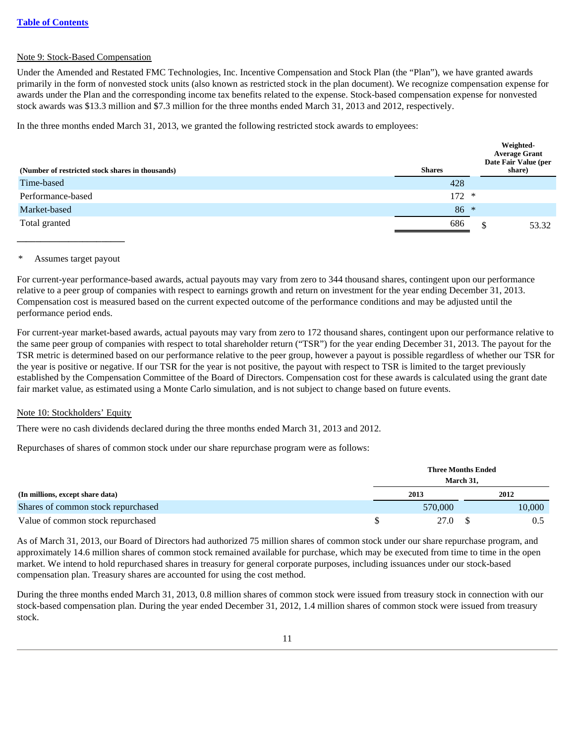# Note 9: Stock-Based Compensation

Under the Amended and Restated FMC Technologies, Inc. Incentive Compensation and Stock Plan (the "Plan"), we have granted awards primarily in the form of nonvested stock units (also known as restricted stock in the plan document). We recognize compensation expense for awards under the Plan and the corresponding income tax benefits related to the expense. Stock-based compensation expense for nonvested stock awards was \$13.3 million and \$7.3 million for the three months ended March 31, 2013 and 2012, respectively.

In the three months ended March 31, 2013, we granted the following restricted stock awards to employees:

| (Number of restricted stock shares in thousands) | <b>Shares</b> | Weighted-<br><b>Average Grant</b><br>Date Fair Value (per<br>share) |
|--------------------------------------------------|---------------|---------------------------------------------------------------------|
| Time-based                                       | 428           |                                                                     |
| Performance-based                                | $172$ *       |                                                                     |
| Market-based                                     | $86 *$        |                                                                     |
| Total granted                                    | 686           | 53.32                                                               |

### Assumes target payout

For current-year performance-based awards, actual payouts may vary from zero to 344 thousand shares, contingent upon our performance relative to a peer group of companies with respect to earnings growth and return on investment for the year ending December 31, 2013. Compensation cost is measured based on the current expected outcome of the performance conditions and may be adjusted until the performance period ends.

For current-year market-based awards, actual payouts may vary from zero to 172 thousand shares, contingent upon our performance relative to the same peer group of companies with respect to total shareholder return ("TSR") for the year ending December 31, 2013. The payout for the TSR metric is determined based on our performance relative to the peer group, however a payout is possible regardless of whether our TSR for the year is positive or negative. If our TSR for the year is not positive, the payout with respect to TSR is limited to the target previously established by the Compensation Committee of the Board of Directors. Compensation cost for these awards is calculated using the grant date fair market value, as estimated using a Monte Carlo simulation, and is not subject to change based on future events.

# Note 10: Stockholders' Equity

There were no cash dividends declared during the three months ended March 31, 2013 and 2012.

Repurchases of shares of common stock under our share repurchase program were as follows:

|                                    | <b>Three Months Ended</b><br>March 31. |  |        |  |  |  |  |
|------------------------------------|----------------------------------------|--|--------|--|--|--|--|
| (In millions, except share data)   | 2013                                   |  | 2012   |  |  |  |  |
| Shares of common stock repurchased | 570,000                                |  | 10,000 |  |  |  |  |
| Value of common stock repurchased  | 27.0                                   |  |        |  |  |  |  |

As of March 31, 2013, our Board of Directors had authorized 75 million shares of common stock under our share repurchase program, and approximately 14.6 million shares of common stock remained available for purchase, which may be executed from time to time in the open market. We intend to hold repurchased shares in treasury for general corporate purposes, including issuances under our stock-based compensation plan. Treasury shares are accounted for using the cost method.

During the three months ended March 31, 2013, 0.8 million shares of common stock were issued from treasury stock in connection with our stock-based compensation plan. During the year ended December 31, 2012, 1.4 million shares of common stock were issued from treasury stock.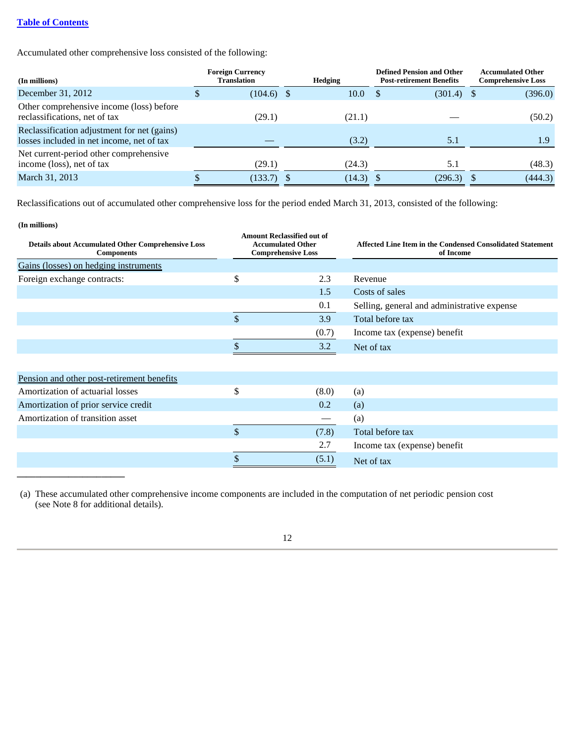Accumulated other comprehensive loss consisted of the following:

| (In millions)                                                                            | <b>Foreign Currency</b><br><b>Translation</b> | <b>Hedging</b> | <b>Defined Pension and Other</b><br><b>Post-retirement Benefits</b> |    | <b>Accumulated Other</b><br><b>Comprehensive Loss</b> |
|------------------------------------------------------------------------------------------|-----------------------------------------------|----------------|---------------------------------------------------------------------|----|-------------------------------------------------------|
| December 31, 2012                                                                        | $(104.6)$ \$                                  | 10.0           | (301.4)                                                             |    | (396.0)                                               |
| Other comprehensive income (loss) before<br>reclassifications, net of tax                | (29.1)                                        | (21.1)         |                                                                     |    | (50.2)                                                |
| Reclassification adjustment for net (gains)<br>losses included in net income, net of tax |                                               | (3.2)          | 5.1                                                                 |    | 1.9                                                   |
| Net current-period other comprehensive<br>income (loss), net of tax                      | (29.1)                                        | (24.3)         | 5.1                                                                 |    | (48.3)                                                |
| March 31, 2013                                                                           | $(133.7)$ \$                                  | $(14.3)$ \$    | (296.3)                                                             | -S | (444.3)                                               |

Reclassifications out of accumulated other comprehensive loss for the period ended March 31, 2013, consisted of the following:

**(In millions)** 

| <b>Details about Accumulated Other Comprehensive Loss</b><br><b>Components</b> |                           | <b>Amount Reclassified out of</b><br><b>Accumulated Other</b><br><b>Comprehensive Loss</b> | Affected Line Item in the Condensed Consolidated Statement<br>of Income |
|--------------------------------------------------------------------------------|---------------------------|--------------------------------------------------------------------------------------------|-------------------------------------------------------------------------|
| Gains (losses) on hedging instruments                                          |                           |                                                                                            |                                                                         |
| Foreign exchange contracts:                                                    | \$                        | 2.3                                                                                        | Revenue                                                                 |
|                                                                                |                           | 1.5                                                                                        | Costs of sales                                                          |
|                                                                                |                           | 0.1                                                                                        | Selling, general and administrative expense                             |
|                                                                                | $\boldsymbol{\mathsf{S}}$ | 3.9                                                                                        | Total before tax                                                        |
|                                                                                |                           | (0.7)                                                                                      | Income tax (expense) benefit                                            |
|                                                                                | \$                        | 3.2                                                                                        | Net of tax                                                              |
|                                                                                |                           |                                                                                            |                                                                         |
| Pension and other post-retirement benefits                                     |                           |                                                                                            |                                                                         |
| Amortization of actuarial losses                                               | \$                        | (8.0)                                                                                      | (a)                                                                     |
| Amortization of prior service credit                                           |                           | 0.2                                                                                        | (a)                                                                     |
| Amortization of transition asset                                               |                           |                                                                                            | (a)                                                                     |
|                                                                                | \$                        | (7.8)                                                                                      | Total before tax                                                        |
|                                                                                |                           | 2.7                                                                                        | Income tax (expense) benefit                                            |
|                                                                                | \$                        | (5.1)                                                                                      | Net of tax                                                              |
|                                                                                |                           |                                                                                            |                                                                         |

(a) These accumulated other comprehensive income components are included in the computation of net periodic pension cost (see Note 8 for additional details).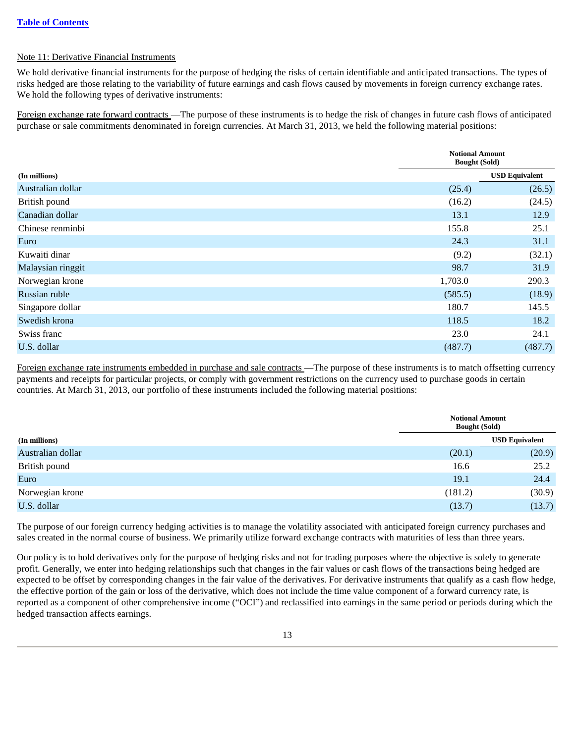# Note 11: Derivative Financial Instruments

We hold derivative financial instruments for the purpose of hedging the risks of certain identifiable and anticipated transactions. The types of risks hedged are those relating to the variability of future earnings and cash flows caused by movements in foreign currency exchange rates. We hold the following types of derivative instruments:

Foreign exchange rate forward contracts —The purpose of these instruments is to hedge the risk of changes in future cash flows of anticipated purchase or sale commitments denominated in foreign currencies. At March 31, 2013, we held the following material positions:

|                   | <b>Notional Amount</b><br><b>Bought (Sold)</b> |                       |
|-------------------|------------------------------------------------|-----------------------|
| (In millions)     |                                                | <b>USD Equivalent</b> |
| Australian dollar | (25.4)                                         | (26.5)                |
| British pound     | (16.2)                                         | (24.5)                |
| Canadian dollar   | 13.1                                           | 12.9                  |
| Chinese renminbi  | 155.8                                          | 25.1                  |
| Euro              | 24.3                                           | 31.1                  |
| Kuwaiti dinar     | (9.2)                                          | (32.1)                |
| Malaysian ringgit | 98.7                                           | 31.9                  |
| Norwegian krone   | 1,703.0                                        | 290.3                 |
| Russian ruble     | (585.5)                                        | (18.9)                |
| Singapore dollar  | 180.7                                          | 145.5                 |
| Swedish krona     | 118.5                                          | 18.2                  |
| Swiss franc       | 23.0                                           | 24.1                  |
| U.S. dollar       | (487.7)                                        | (487.7)               |

Foreign exchange rate instruments embedded in purchase and sale contracts —The purpose of these instruments is to match offsetting currency payments and receipts for particular projects, or comply with government restrictions on the currency used to purchase goods in certain countries. At March 31, 2013, our portfolio of these instruments included the following material positions:

| <b>Notional Amount</b><br><b>Bought (Sold)</b> |                       |  |  |
|------------------------------------------------|-----------------------|--|--|
|                                                | <b>USD Equivalent</b> |  |  |
| (20.1)                                         | (20.9)                |  |  |
| 16.6                                           | 25.2                  |  |  |
| 19.1                                           | 24.4                  |  |  |
| (181.2)                                        | (30.9)                |  |  |
| (13.7)                                         | (13.7)                |  |  |
|                                                |                       |  |  |

The purpose of our foreign currency hedging activities is to manage the volatility associated with anticipated foreign currency purchases and sales created in the normal course of business. We primarily utilize forward exchange contracts with maturities of less than three years.

Our policy is to hold derivatives only for the purpose of hedging risks and not for trading purposes where the objective is solely to generate profit. Generally, we enter into hedging relationships such that changes in the fair values or cash flows of the transactions being hedged are expected to be offset by corresponding changes in the fair value of the derivatives. For derivative instruments that qualify as a cash flow hedge, the effective portion of the gain or loss of the derivative, which does not include the time value component of a forward currency rate, is reported as a component of other comprehensive income ("OCI") and reclassified into earnings in the same period or periods during which the hedged transaction affects earnings.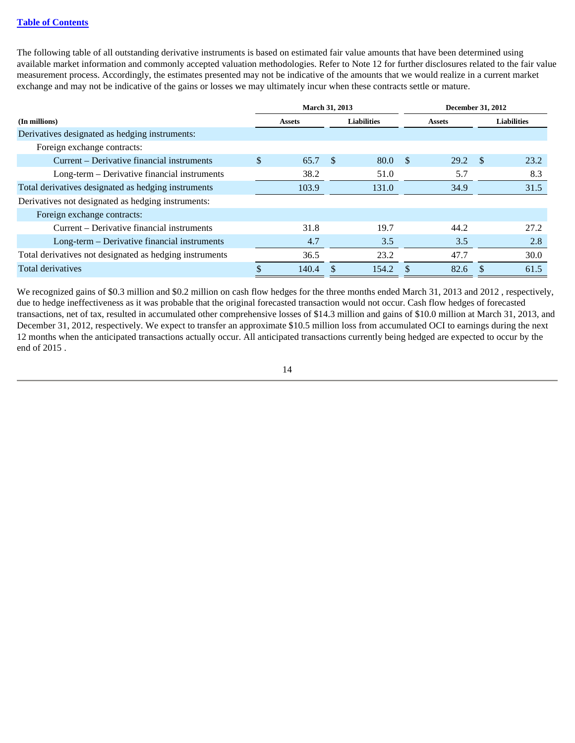The following table of all outstanding derivative instruments is based on estimated fair value amounts that have been determined using available market information and commonly accepted valuation methodologies. Refer to Note 12 for further disclosures related to the fair value measurement process. Accordingly, the estimates presented may not be indicative of the amounts that we would realize in a current market exchange and may not be indicative of the gains or losses we may ultimately incur when these contracts settle or mature.

|                                                         | <b>March 31, 2013</b> |               |     | <b>December 31, 2012</b> |      |               |      |                    |
|---------------------------------------------------------|-----------------------|---------------|-----|--------------------------|------|---------------|------|--------------------|
| (In millions)                                           |                       | <b>Assets</b> |     | <b>Liabilities</b>       |      | <b>Assets</b> |      | <b>Liabilities</b> |
| Derivatives designated as hedging instruments:          |                       |               |     |                          |      |               |      |                    |
| Foreign exchange contracts:                             |                       |               |     |                          |      |               |      |                    |
| Current – Derivative financial instruments              | \$                    | 65.7          | -S  | 80.0                     | - \$ | 29.2          | - \$ | 23.2               |
| Long-term – Derivative financial instruments            |                       | 38.2          |     | 51.0                     |      | 5.7           |      | 8.3                |
| Total derivatives designated as hedging instruments     |                       | 103.9         |     | 131.0                    |      | 34.9          |      | 31.5               |
| Derivatives not designated as hedging instruments:      |                       |               |     |                          |      |               |      |                    |
| Foreign exchange contracts:                             |                       |               |     |                          |      |               |      |                    |
| Current – Derivative financial instruments              |                       | 31.8          |     | 19.7                     |      | 44.2          |      | 27.2               |
| Long-term – Derivative financial instruments            |                       | 4.7           |     | 3.5                      |      | 3.5           |      | 2.8                |
| Total derivatives not designated as hedging instruments |                       | 36.5          |     | 23.2                     |      | 47.7          |      | 30.0               |
| Total derivatives                                       |                       | 140.4         | \$. | 154.2                    | \$.  | 82.6          | £.   | 61.5               |

We recognized gains of \$0.3 million and \$0.2 million on cash flow hedges for the three months ended March 31, 2013 and 2012, respectively, due to hedge ineffectiveness as it was probable that the original forecasted transaction would not occur. Cash flow hedges of forecasted transactions, net of tax, resulted in accumulated other comprehensive losses of \$14.3 million and gains of \$10.0 million at March 31, 2013, and December 31, 2012, respectively. We expect to transfer an approximate \$10.5 million loss from accumulated OCI to earnings during the next 12 months when the anticipated transactions actually occur. All anticipated transactions currently being hedged are expected to occur by the end of 2015 .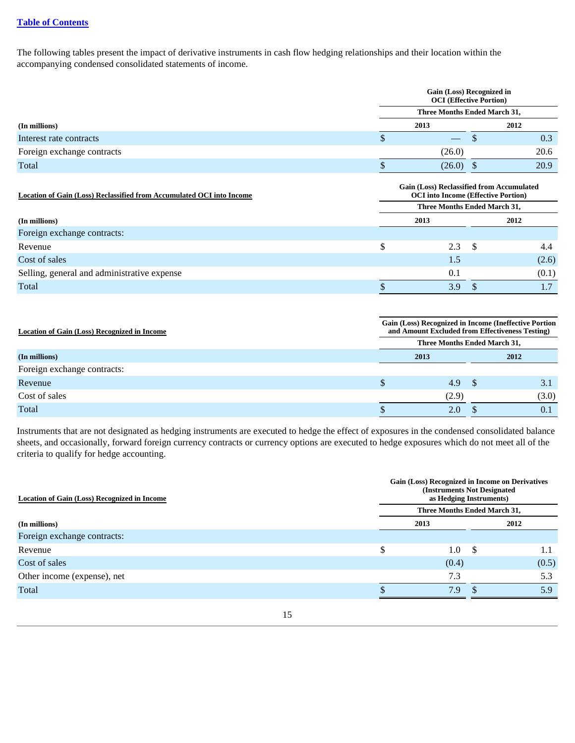The following tables present the impact of derivative instruments in cash flow hedging relationships and their location within the accompanying condensed consolidated statements of income.

|                            |   | Gain (Loss) Recognized in<br><b>OCI</b> (Effective Portion) |  |      |  |  |  |  |  |
|----------------------------|---|-------------------------------------------------------------|--|------|--|--|--|--|--|
| (In millions)              |   | Three Months Ended March 31,                                |  |      |  |  |  |  |  |
|                            |   | 2013                                                        |  | 2012 |  |  |  |  |  |
| Interest rate contracts    | D |                                                             |  | 0.3  |  |  |  |  |  |
| Foreign exchange contracts |   | (26.0)                                                      |  | 20.6 |  |  |  |  |  |
| Total                      |   | (26.0)                                                      |  | 20.9 |  |  |  |  |  |

| Location of Gain (Loss) Reclassified from Accumulated OCI into Income | Gain (Loss) Reclassified from Accumulated<br><b>OCI</b> into Income (Effective Portion) |      |       |  |  |  |  |  |  |
|-----------------------------------------------------------------------|-----------------------------------------------------------------------------------------|------|-------|--|--|--|--|--|--|
|                                                                       | <b>Three Months Ended March 31.</b>                                                     |      |       |  |  |  |  |  |  |
| (In millions)                                                         | 2013                                                                                    | 2012 |       |  |  |  |  |  |  |
| Foreign exchange contracts:                                           |                                                                                         |      |       |  |  |  |  |  |  |
| Revenue                                                               | 2.3                                                                                     | -S   | 4.4   |  |  |  |  |  |  |
| Cost of sales                                                         | 1.5                                                                                     |      | (2.6) |  |  |  |  |  |  |
| Selling, general and administrative expense                           | 0.1                                                                                     |      | (0.1) |  |  |  |  |  |  |
| Total                                                                 | 3.9                                                                                     |      |       |  |  |  |  |  |  |

| <b>Location of Gain (Loss) Recognized in Income</b> | Gain (Loss) Recognized in Income (Ineffective Portion<br>and Amount Excluded from Effectiveness Testing) |                              |       |  |  |  |  |  |
|-----------------------------------------------------|----------------------------------------------------------------------------------------------------------|------------------------------|-------|--|--|--|--|--|
|                                                     |                                                                                                          | Three Months Ended March 31, |       |  |  |  |  |  |
| (In millions)                                       | 2013                                                                                                     | 2012                         |       |  |  |  |  |  |
| Foreign exchange contracts:                         |                                                                                                          |                              |       |  |  |  |  |  |
| Revenue                                             | 4.9                                                                                                      |                              |       |  |  |  |  |  |
| Cost of sales                                       | (2.9)                                                                                                    |                              | (3.0) |  |  |  |  |  |
| Total                                               | 2.0                                                                                                      |                              |       |  |  |  |  |  |

Instruments that are not designated as hedging instruments are executed to hedge the effect of exposures in the condensed consolidated balance sheets, and occasionally, forward foreign currency contracts or currency options are executed to hedge exposures which do not meet all of the criteria to qualify for hedge accounting.

| <b>Location of Gain (Loss) Recognized in Income</b> | Gain (Loss) Recognized in Income on Derivatives<br>(Instruments Not Designated<br>as Hedging Instruments) |       |      |       |  |  |  |  |  |
|-----------------------------------------------------|-----------------------------------------------------------------------------------------------------------|-------|------|-------|--|--|--|--|--|
|                                                     | <b>Three Months Ended March 31,</b>                                                                       |       |      |       |  |  |  |  |  |
| (In millions)                                       |                                                                                                           | 2013  | 2012 |       |  |  |  |  |  |
| Foreign exchange contracts:                         |                                                                                                           |       |      |       |  |  |  |  |  |
| Revenue                                             |                                                                                                           | 1.0   | -S   | 1.1   |  |  |  |  |  |
| Cost of sales                                       |                                                                                                           | (0.4) |      | (0.5) |  |  |  |  |  |
| Other income (expense), net                         |                                                                                                           | 7.3   |      | 5.3   |  |  |  |  |  |
| Total                                               |                                                                                                           | 7.9   |      | 5.9   |  |  |  |  |  |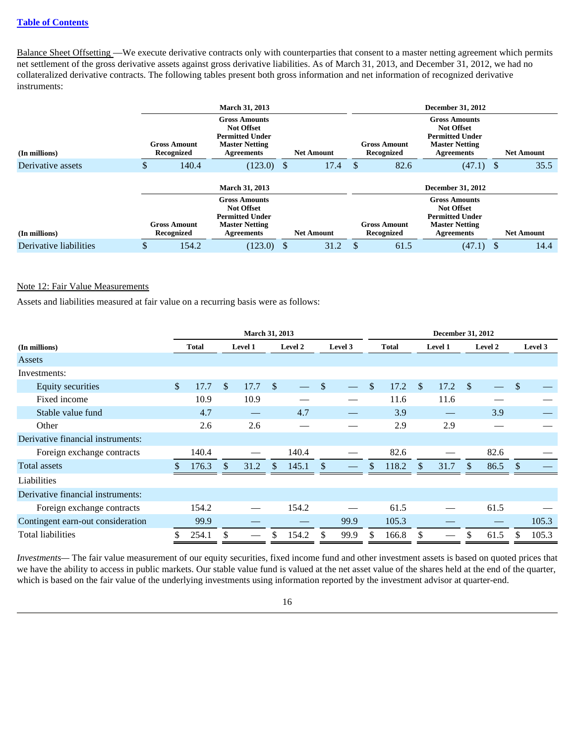Balance Sheet Offsetting —We execute derivative contracts only with counterparties that consent to a master netting agreement which permits net settlement of the gross derivative assets against gross derivative liabilities. As of March 31, 2013, and December 31, 2012, we had no collateralized derivative contracts. The following tables present both gross information and net information of recognized derivative instruments:

|                        |                                   | <b>March 31, 2013</b>                                                                                             |   |                   |    |                                          | <b>December 31, 2012</b>                                                                                          |               |                   |
|------------------------|-----------------------------------|-------------------------------------------------------------------------------------------------------------------|---|-------------------|----|------------------------------------------|-------------------------------------------------------------------------------------------------------------------|---------------|-------------------|
| (In millions)          | <b>Gross Amount</b><br>Recognized | <b>Gross Amounts</b><br><b>Not Offset</b><br><b>Permitted Under</b><br><b>Master Netting</b><br><b>Agreements</b> |   | <b>Net Amount</b> |    | <b>Gross Amount</b><br><b>Recognized</b> | <b>Gross Amounts</b><br><b>Not Offset</b><br><b>Permitted Under</b><br><b>Master Netting</b><br><b>Agreements</b> |               | <b>Net Amount</b> |
| Derivative assets      | \$<br>140.4                       | $(123.0)$ \$                                                                                                      |   | 17.4              | S  | 82.6                                     | $(47.1)$ \$                                                                                                       |               | 35.5              |
|                        |                                   | <b>March 31, 2013</b>                                                                                             |   |                   |    |                                          | <b>December 31, 2012</b>                                                                                          |               |                   |
| (In millions)          | <b>Gross Amount</b><br>Recognized | <b>Gross Amounts</b><br><b>Not Offset</b><br><b>Permitted Under</b><br><b>Master Netting</b><br><b>Agreements</b> |   | <b>Net Amount</b> |    | <b>Gross Amount</b><br>Recognized        | <b>Gross Amounts</b><br><b>Not Offset</b><br><b>Permitted Under</b><br><b>Master Netting</b><br><b>Agreements</b> |               | <b>Net Amount</b> |
| Derivative liabilities | \$<br>154.2                       | (123.0)                                                                                                           | S | 31.2              | \$ | 61.5                                     | (47.1)                                                                                                            | <sup>\$</sup> | 14.4              |

#### Note 12: Fair Value Measurements

Assets and liabilities measured at fair value on a recurring basis were as follows:

|                                   |               |              | March 31, 2013 |               |         |               |         | <b>December 31, 2012</b> |              |               |         |              |         |               |         |
|-----------------------------------|---------------|--------------|----------------|---------------|---------|---------------|---------|--------------------------|--------------|---------------|---------|--------------|---------|---------------|---------|
| (In millions)                     |               | <b>Total</b> | <b>Level 1</b> |               | Level 2 |               | Level 3 |                          | <b>Total</b> |               | Level 1 |              | Level 2 |               | Level 3 |
| Assets                            |               |              |                |               |         |               |         |                          |              |               |         |              |         |               |         |
| Investments:                      |               |              |                |               |         |               |         |                          |              |               |         |              |         |               |         |
| <b>Equity securities</b>          | $\frac{1}{2}$ | 17.7         | \$<br>17.7     | <sup>\$</sup> |         | <sup>\$</sup> |         | \$                       | 17.2         | $\mathcal{S}$ | 17.2    | -\$          |         | $\mathcal{S}$ |         |
| Fixed income                      |               | 10.9         | 10.9           |               |         |               |         |                          | 11.6         |               | 11.6    |              |         |               |         |
| Stable value fund                 |               | 4.7          |                |               | 4.7     |               |         |                          | 3.9          |               |         |              | 3.9     |               |         |
| Other                             |               | 2.6          | 2.6            |               |         |               |         |                          | 2.9          |               | 2.9     |              |         |               |         |
| Derivative financial instruments: |               |              |                |               |         |               |         |                          |              |               |         |              |         |               |         |
| Foreign exchange contracts        |               | 140.4        |                |               | 140.4   |               |         |                          | 82.6         |               |         |              | 82.6    |               |         |
| Total assets                      | S.            | 176.3        | \$<br>31.2     | \$.           | 145.1   | \$.           |         | \$                       | 118.2        | <sup>\$</sup> | 31.7    | $\mathbb{S}$ | 86.5    | \$.           |         |
| Liabilities                       |               |              |                |               |         |               |         |                          |              |               |         |              |         |               |         |
| Derivative financial instruments: |               |              |                |               |         |               |         |                          |              |               |         |              |         |               |         |
| Foreign exchange contracts        |               | 154.2        |                |               | 154.2   |               |         |                          | 61.5         |               |         |              | 61.5    |               |         |
| Contingent earn-out consideration |               | 99.9         |                |               |         |               | 99.9    |                          | 105.3        |               |         |              |         |               | 105.3   |
| Total liabilities                 | S             | 254.1        |                |               | 154.2   | \$            | 99.9    | \$                       | 166.8        | \$            |         | \$           | 61.5    | S             | 105.3   |

*Investments—* The fair value measurement of our equity securities, fixed income fund and other investment assets is based on quoted prices that we have the ability to access in public markets. Our stable value fund is valued at the net asset value of the shares held at the end of the quarter, which is based on the fair value of the underlying investments using information reported by the investment advisor at quarter-end.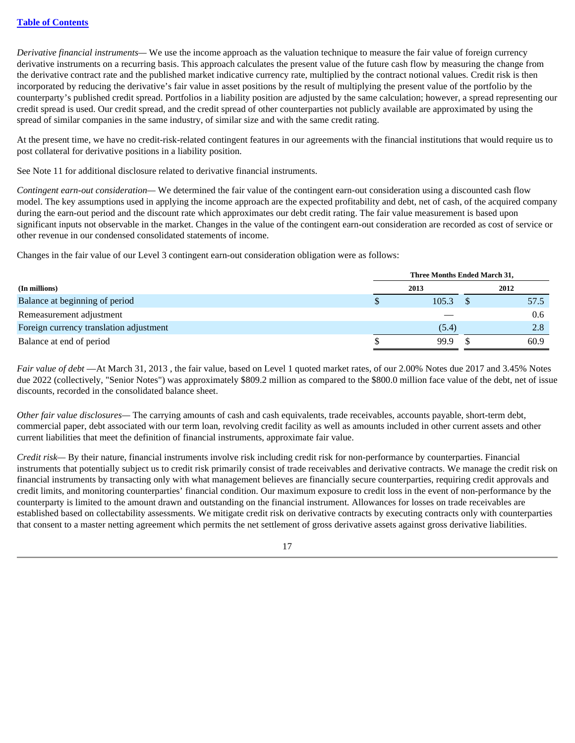*Derivative financial instruments—* We use the income approach as the valuation technique to measure the fair value of foreign currency derivative instruments on a recurring basis. This approach calculates the present value of the future cash flow by measuring the change from the derivative contract rate and the published market indicative currency rate, multiplied by the contract notional values. Credit risk is then incorporated by reducing the derivative's fair value in asset positions by the result of multiplying the present value of the portfolio by the counterparty's published credit spread. Portfolios in a liability position are adjusted by the same calculation; however, a spread representing our credit spread is used. Our credit spread, and the credit spread of other counterparties not publicly available are approximated by using the spread of similar companies in the same industry, of similar size and with the same credit rating.

At the present time, we have no credit-risk-related contingent features in our agreements with the financial institutions that would require us to post collateral for derivative positions in a liability position.

See Note 11 for additional disclosure related to derivative financial instruments.

*Contingent earn-out consideration—* We determined the fair value of the contingent earn-out consideration using a discounted cash flow model. The key assumptions used in applying the income approach are the expected profitability and debt, net of cash, of the acquired company during the earn-out period and the discount rate which approximates our debt credit rating. The fair value measurement is based upon significant inputs not observable in the market. Changes in the value of the contingent earn-out consideration are recorded as cost of service or other revenue in our condensed consolidated statements of income.

Changes in the fair value of our Level 3 contingent earn-out consideration obligation were as follows:

|                                         | Three Months Ended March 31, |  |      |  |  |  |  |  |
|-----------------------------------------|------------------------------|--|------|--|--|--|--|--|
| (In millions)                           | 2013                         |  | 2012 |  |  |  |  |  |
| Balance at beginning of period          | 105.3                        |  | 57.5 |  |  |  |  |  |
| Remeasurement adjustment                |                              |  | 0.6  |  |  |  |  |  |
| Foreign currency translation adjustment | (5.4)                        |  | 2.8  |  |  |  |  |  |
| Balance at end of period                | 99.9                         |  | 60.9 |  |  |  |  |  |

*Fair value of debt* —At March 31, 2013, the fair value, based on Level 1 quoted market rates, of our 2.00% Notes due 2017 and 3.45% Notes due 2022 (collectively, "Senior Notes") was approximately \$809.2 million as compared to the \$800.0 million face value of the debt, net of issue discounts, recorded in the consolidated balance sheet.

*Other fair value disclosures—* The carrying amounts of cash and cash equivalents, trade receivables, accounts payable, short-term debt, commercial paper, debt associated with our term loan, revolving credit facility as well as amounts included in other current assets and other current liabilities that meet the definition of financial instruments, approximate fair value.

*Credit risk—* By their nature, financial instruments involve risk including credit risk for non-performance by counterparties. Financial instruments that potentially subject us to credit risk primarily consist of trade receivables and derivative contracts. We manage the credit risk on financial instruments by transacting only with what management believes are financially secure counterparties, requiring credit approvals and credit limits, and monitoring counterparties' financial condition. Our maximum exposure to credit loss in the event of non-performance by the counterparty is limited to the amount drawn and outstanding on the financial instrument. Allowances for losses on trade receivables are established based on collectability assessments. We mitigate credit risk on derivative contracts by executing contracts only with counterparties that consent to a master netting agreement which permits the net settlement of gross derivative assets against gross derivative liabilities.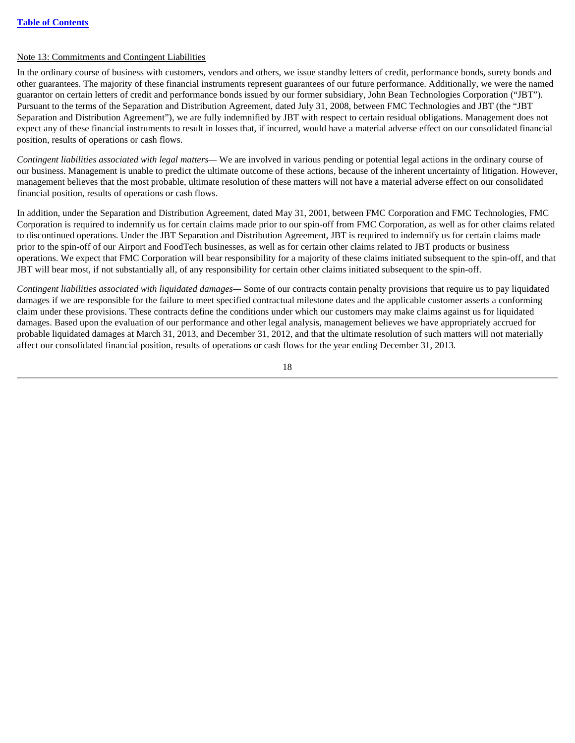# Note 13: Commitments and Contingent Liabilities

In the ordinary course of business with customers, vendors and others, we issue standby letters of credit, performance bonds, surety bonds and other guarantees. The majority of these financial instruments represent guarantees of our future performance. Additionally, we were the named guarantor on certain letters of credit and performance bonds issued by our former subsidiary, John Bean Technologies Corporation ("JBT"). Pursuant to the terms of the Separation and Distribution Agreement, dated July 31, 2008, between FMC Technologies and JBT (the "JBT Separation and Distribution Agreement"), we are fully indemnified by JBT with respect to certain residual obligations. Management does not expect any of these financial instruments to result in losses that, if incurred, would have a material adverse effect on our consolidated financial position, results of operations or cash flows.

*Contingent liabilities associated with legal matters—* We are involved in various pending or potential legal actions in the ordinary course of our business. Management is unable to predict the ultimate outcome of these actions, because of the inherent uncertainty of litigation. However, management believes that the most probable, ultimate resolution of these matters will not have a material adverse effect on our consolidated financial position, results of operations or cash flows.

In addition, under the Separation and Distribution Agreement, dated May 31, 2001, between FMC Corporation and FMC Technologies, FMC Corporation is required to indemnify us for certain claims made prior to our spin-off from FMC Corporation, as well as for other claims related to discontinued operations. Under the JBT Separation and Distribution Agreement, JBT is required to indemnify us for certain claims made prior to the spin-off of our Airport and FoodTech businesses, as well as for certain other claims related to JBT products or business operations. We expect that FMC Corporation will bear responsibility for a majority of these claims initiated subsequent to the spin-off, and that JBT will bear most, if not substantially all, of any responsibility for certain other claims initiated subsequent to the spin-off.

*Contingent liabilities associated with liquidated damages—* Some of our contracts contain penalty provisions that require us to pay liquidated damages if we are responsible for the failure to meet specified contractual milestone dates and the applicable customer asserts a conforming claim under these provisions. These contracts define the conditions under which our customers may make claims against us for liquidated damages. Based upon the evaluation of our performance and other legal analysis, management believes we have appropriately accrued for probable liquidated damages at March 31, 2013, and December 31, 2012, and that the ultimate resolution of such matters will not materially affect our consolidated financial position, results of operations or cash flows for the year ending December 31, 2013.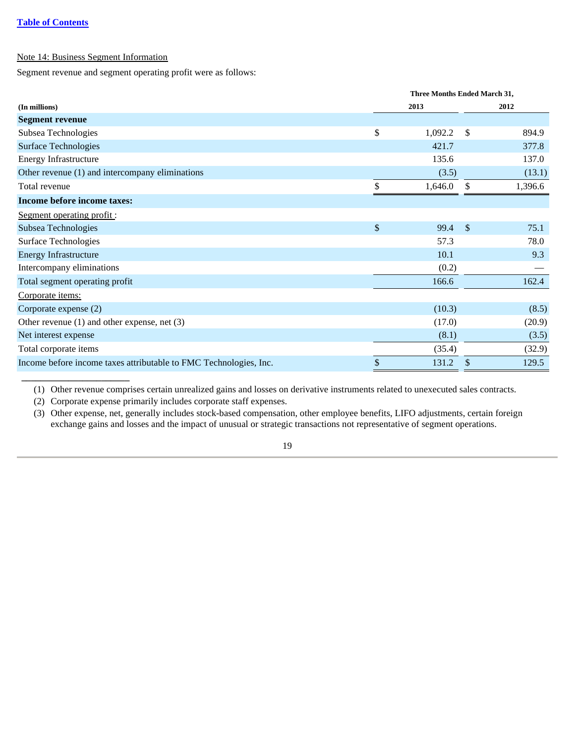# Note 14: Business Segment Information

**\_\_\_\_\_\_\_\_\_\_\_\_\_\_\_\_\_\_\_\_\_\_\_** 

Segment revenue and segment operating profit were as follows:

|                                                                   |    | Three Months Ended March 31, |               |         |  |  |  |
|-------------------------------------------------------------------|----|------------------------------|---------------|---------|--|--|--|
| (In millions)                                                     |    | 2013                         |               | 2012    |  |  |  |
| <b>Segment revenue</b>                                            |    |                              |               |         |  |  |  |
| Subsea Technologies                                               | \$ | 1,092.2                      | \$            | 894.9   |  |  |  |
| <b>Surface Technologies</b>                                       |    | 421.7                        |               | 377.8   |  |  |  |
| <b>Energy Infrastructure</b>                                      |    | 135.6                        |               | 137.0   |  |  |  |
| Other revenue (1) and intercompany eliminations                   |    | (3.5)                        |               | (13.1)  |  |  |  |
| Total revenue                                                     |    | 1,646.0                      | S             | 1,396.6 |  |  |  |
| Income before income taxes:                                       |    |                              |               |         |  |  |  |
| Segment operating profit:                                         |    |                              |               |         |  |  |  |
| Subsea Technologies                                               | \$ | 99.4                         | <sup>\$</sup> | 75.1    |  |  |  |
| <b>Surface Technologies</b>                                       |    | 57.3                         |               | 78.0    |  |  |  |
| <b>Energy Infrastructure</b>                                      |    | 10.1                         |               | 9.3     |  |  |  |
| Intercompany eliminations                                         |    | (0.2)                        |               |         |  |  |  |
| Total segment operating profit                                    |    | 166.6                        |               | 162.4   |  |  |  |
| Corporate items:                                                  |    |                              |               |         |  |  |  |
| Corporate expense (2)                                             |    | (10.3)                       |               | (8.5)   |  |  |  |
| Other revenue $(1)$ and other expense, net $(3)$                  |    | (17.0)                       |               | (20.9)  |  |  |  |
| Net interest expense                                              |    | (8.1)                        |               | (3.5)   |  |  |  |
| Total corporate items                                             |    | (35.4)                       |               | (32.9)  |  |  |  |
| Income before income taxes attributable to FMC Technologies, Inc. | \$ | 131.2                        | \$            | 129.5   |  |  |  |

(1) Other revenue comprises certain unrealized gains and losses on derivative instruments related to unexecuted sales contracts.

(2) Corporate expense primarily includes corporate staff expenses.

(3) Other expense, net, generally includes stock-based compensation, other employee benefits, LIFO adjustments, certain foreign exchange gains and losses and the impact of unusual or strategic transactions not representative of segment operations.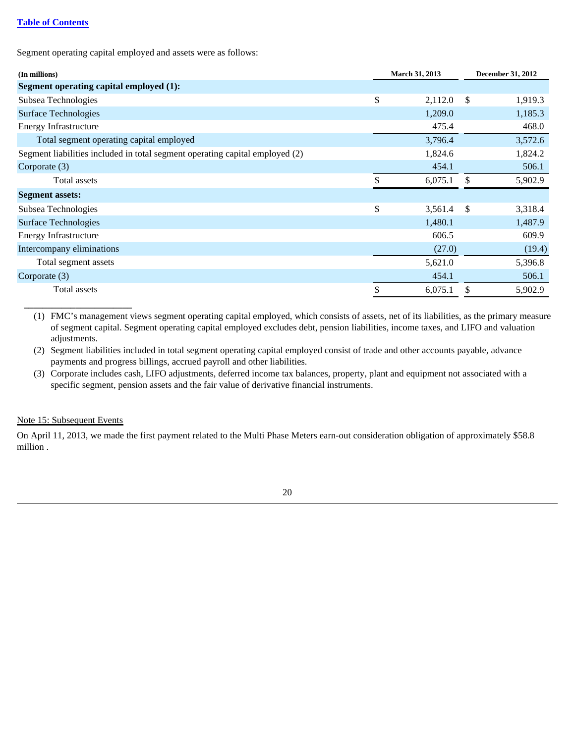Segment operating capital employed and assets were as follows:

| (In millions)                                                                |               | March 31, 2013 |     | <b>December 31, 2012</b> |
|------------------------------------------------------------------------------|---------------|----------------|-----|--------------------------|
| Segment operating capital employed (1):                                      |               |                |     |                          |
| Subsea Technologies                                                          | \$            | 2,112.0        | \$  | 1,919.3                  |
| <b>Surface Technologies</b>                                                  |               | 1,209.0        |     | 1,185.3                  |
| Energy Infrastructure                                                        |               | 475.4          |     | 468.0                    |
| Total segment operating capital employed                                     |               | 3,796.4        |     | 3,572.6                  |
| Segment liabilities included in total segment operating capital employed (2) |               | 1,824.6        |     | 1,824.2                  |
| Corporate (3)                                                                |               | 454.1          |     | 506.1                    |
| Total assets                                                                 | $\mathcal{S}$ | 6,075.1        | \$  | 5,902.9                  |
| <b>Segment assets:</b>                                                       |               |                |     |                          |
| Subsea Technologies                                                          | \$            | 3,561.4        | \$. | 3,318.4                  |
| Surface Technologies                                                         |               | 1,480.1        |     | 1,487.9                  |
| Energy Infrastructure                                                        |               | 606.5          |     | 609.9                    |
| Intercompany eliminations                                                    |               | (27.0)         |     | (19.4)                   |
| Total segment assets                                                         |               | 5,621.0        |     | 5,396.8                  |
| Corporate (3)                                                                |               | 454.1          |     | 506.1                    |
| Total assets                                                                 | \$            | 6,075.1        | \$. | 5,902.9                  |

(1) FMC's management views segment operating capital employed, which consists of assets, net of its liabilities, as the primary measure of segment capital. Segment operating capital employed excludes debt, pension liabilities, income taxes, and LIFO and valuation adjustments.

(2) Segment liabilities included in total segment operating capital employed consist of trade and other accounts payable, advance payments and progress billings, accrued payroll and other liabilities.

(3) Corporate includes cash, LIFO adjustments, deferred income tax balances, property, plant and equipment not associated with a specific segment, pension assets and the fair value of derivative financial instruments.

#### Note 15: Subsequent Events

**\_\_\_\_\_\_\_\_\_\_\_\_\_\_\_\_\_\_\_\_\_\_\_** 

On April 11, 2013, we made the first payment related to the Multi Phase Meters earn-out consideration obligation of approximately \$58.8 million .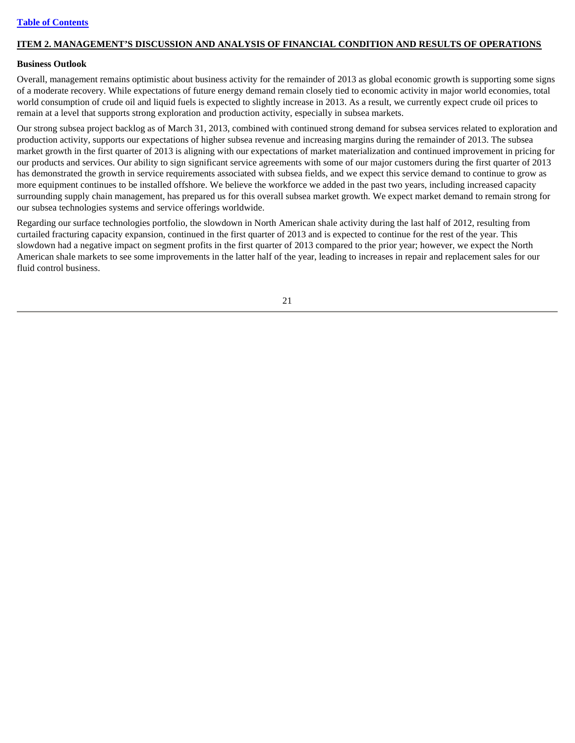#### **ITEM 2. MANAGEMENT'S DISCUSSION AND ANALYSIS OF FINANCIAL CONDITION AND RESULTS OF OPERATIONS**

#### **Business Outlook**

Overall, management remains optimistic about business activity for the remainder of 2013 as global economic growth is supporting some signs of a moderate recovery. While expectations of future energy demand remain closely tied to economic activity in major world economies, total world consumption of crude oil and liquid fuels is expected to slightly increase in 2013. As a result, we currently expect crude oil prices to remain at a level that supports strong exploration and production activity, especially in subsea markets.

Our strong subsea project backlog as of March 31, 2013, combined with continued strong demand for subsea services related to exploration and production activity, supports our expectations of higher subsea revenue and increasing margins during the remainder of 2013. The subsea market growth in the first quarter of 2013 is aligning with our expectations of market materialization and continued improvement in pricing for our products and services. Our ability to sign significant service agreements with some of our major customers during the first quarter of 2013 has demonstrated the growth in service requirements associated with subsea fields, and we expect this service demand to continue to grow as more equipment continues to be installed offshore. We believe the workforce we added in the past two years, including increased capacity surrounding supply chain management, has prepared us for this overall subsea market growth. We expect market demand to remain strong for our subsea technologies systems and service offerings worldwide.

Regarding our surface technologies portfolio, the slowdown in North American shale activity during the last half of 2012, resulting from curtailed fracturing capacity expansion, continued in the first quarter of 2013 and is expected to continue for the rest of the year. This slowdown had a negative impact on segment profits in the first quarter of 2013 compared to the prior year; however, we expect the North American shale markets to see some improvements in the latter half of the year, leading to increases in repair and replacement sales for our fluid control business.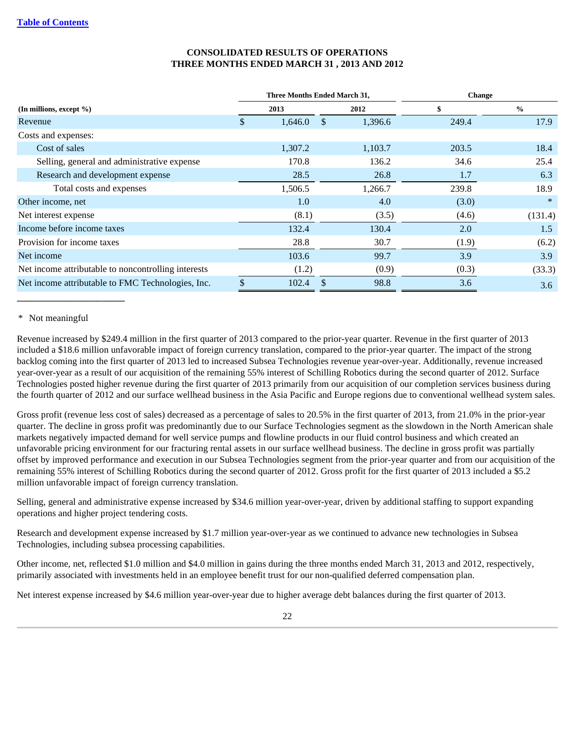#### **CONSOLIDATED RESULTS OF OPERATIONS THREE MONTHS ENDED MARCH 31 , 2013 AND 2012**

|                                                     | <b>Change</b> |         |     |         |       |               |
|-----------------------------------------------------|---------------|---------|-----|---------|-------|---------------|
| (In millions, except %)                             |               | 2013    |     | 2012    | \$    | $\frac{0}{0}$ |
| Revenue                                             | S.            | 1,646.0 | \$. | 1,396.6 | 249.4 | 17.9          |
| Costs and expenses:                                 |               |         |     |         |       |               |
| Cost of sales                                       |               | 1,307.2 |     | 1,103.7 | 203.5 | 18.4          |
| Selling, general and administrative expense         |               | 170.8   |     | 136.2   | 34.6  | 25.4          |
| Research and development expense                    |               | 28.5    |     | 26.8    | 1.7   | 6.3           |
| Total costs and expenses                            |               | 1,506.5 |     | 1,266.7 | 239.8 | 18.9          |
| Other income, net                                   |               | 1.0     |     | 4.0     | (3.0) | $\ast$        |
| Net interest expense                                |               | (8.1)   |     | (3.5)   | (4.6) | (131.4)       |
| Income before income taxes                          |               | 132.4   |     | 130.4   | 2.0   | 1.5           |
| Provision for income taxes                          |               | 28.8    |     | 30.7    | (1.9) | (6.2)         |
| Net income                                          |               | 103.6   |     | 99.7    | 3.9   | 3.9           |
| Net income attributable to noncontrolling interests |               | (1.2)   |     | (0.9)   | (0.3) | (33.3)        |
| Net income attributable to FMC Technologies, Inc.   |               | 102.4   | \$  | 98.8    | 3.6   | 3.6           |

\* Not meaningful

**\_\_\_\_\_\_\_\_\_\_\_\_\_\_\_\_\_\_\_\_\_\_\_** 

Revenue increased by \$249.4 million in the first quarter of 2013 compared to the prior-year quarter. Revenue in the first quarter of 2013 included a \$18.6 million unfavorable impact of foreign currency translation, compared to the prior-year quarter. The impact of the strong backlog coming into the first quarter of 2013 led to increased Subsea Technologies revenue year-over-year. Additionally, revenue increased year-over-year as a result of our acquisition of the remaining 55% interest of Schilling Robotics during the second quarter of 2012. Surface Technologies posted higher revenue during the first quarter of 2013 primarily from our acquisition of our completion services business during the fourth quarter of 2012 and our surface wellhead business in the Asia Pacific and Europe regions due to conventional wellhead system sales.

Gross profit (revenue less cost of sales) decreased as a percentage of sales to 20.5% in the first quarter of 2013, from 21.0% in the prior-year quarter. The decline in gross profit was predominantly due to our Surface Technologies segment as the slowdown in the North American shale markets negatively impacted demand for well service pumps and flowline products in our fluid control business and which created an unfavorable pricing environment for our fracturing rental assets in our surface wellhead business. The decline in gross profit was partially offset by improved performance and execution in our Subsea Technologies segment from the prior-year quarter and from our acquisition of the remaining 55% interest of Schilling Robotics during the second quarter of 2012. Gross profit for the first quarter of 2013 included a \$5.2 million unfavorable impact of foreign currency translation.

Selling, general and administrative expense increased by \$34.6 million year-over-year, driven by additional staffing to support expanding operations and higher project tendering costs.

Research and development expense increased by \$1.7 million year-over-year as we continued to advance new technologies in Subsea Technologies, including subsea processing capabilities.

Other income, net, reflected \$1.0 million and \$4.0 million in gains during the three months ended March 31, 2013 and 2012, respectively, primarily associated with investments held in an employee benefit trust for our non-qualified deferred compensation plan.

Net interest expense increased by \$4.6 million year-over-year due to higher average debt balances during the first quarter of 2013.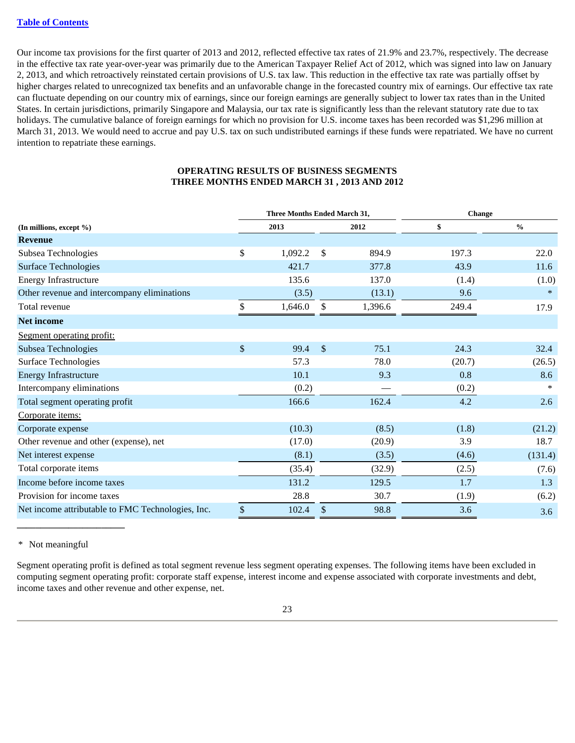Our income tax provisions for the first quarter of 2013 and 2012, reflected effective tax rates of 21.9% and 23.7%, respectively. The decrease in the effective tax rate year-over-year was primarily due to the American Taxpayer Relief Act of 2012, which was signed into law on January 2, 2013, and which retroactively reinstated certain provisions of U.S. tax law. This reduction in the effective tax rate was partially offset by higher charges related to unrecognized tax benefits and an unfavorable change in the forecasted country mix of earnings. Our effective tax rate can fluctuate depending on our country mix of earnings, since our foreign earnings are generally subject to lower tax rates than in the United States. In certain jurisdictions, primarily Singapore and Malaysia, our tax rate is significantly less than the relevant statutory rate due to tax holidays. The cumulative balance of foreign earnings for which no provision for U.S. income taxes has been recorded was \$1,296 million at March 31, 2013. We would need to accrue and pay U.S. tax on such undistributed earnings if these funds were repatriated. We have no current intention to repatriate these earnings.

#### **OPERATING RESULTS OF BUSINESS SEGMENTS THREE MONTHS ENDED MARCH 31 , 2013 AND 2012**

|                                                   |              | Three Months Ended March 31, |               |         | Change |               |  |  |
|---------------------------------------------------|--------------|------------------------------|---------------|---------|--------|---------------|--|--|
| (In millions, except %)                           |              | 2013                         |               | 2012    | \$     | $\frac{0}{0}$ |  |  |
| <b>Revenue</b>                                    |              |                              |               |         |        |               |  |  |
| Subsea Technologies                               | \$           | 1,092.2                      | \$            | 894.9   | 197.3  | 22.0          |  |  |
| <b>Surface Technologies</b>                       |              | 421.7                        |               | 377.8   | 43.9   | 11.6          |  |  |
| <b>Energy Infrastructure</b>                      |              | 135.6                        |               | 137.0   | (1.4)  | (1.0)         |  |  |
| Other revenue and intercompany eliminations       |              | (3.5)                        |               | (13.1)  | 9.6    | $\ast$        |  |  |
| Total revenue                                     | \$           | 1,646.0                      | \$            | 1,396.6 | 249.4  | 17.9          |  |  |
| Net income                                        |              |                              |               |         |        |               |  |  |
| Segment operating profit:                         |              |                              |               |         |        |               |  |  |
| Subsea Technologies                               | $\mathbb{S}$ | 99.4                         | $\mathcal{S}$ | 75.1    | 24.3   | 32.4          |  |  |
| Surface Technologies                              |              | 57.3                         |               | 78.0    | (20.7) | (26.5)        |  |  |
| <b>Energy Infrastructure</b>                      |              | 10.1                         |               | 9.3     | 0.8    | 8.6           |  |  |
| Intercompany eliminations                         |              | (0.2)                        |               |         | (0.2)  | $\ast$        |  |  |
| Total segment operating profit                    |              | 166.6                        |               | 162.4   | 4.2    | 2.6           |  |  |
| Corporate items:                                  |              |                              |               |         |        |               |  |  |
| Corporate expense                                 |              | (10.3)                       |               | (8.5)   | (1.8)  | (21.2)        |  |  |
| Other revenue and other (expense), net            |              | (17.0)                       |               | (20.9)  | 3.9    | 18.7          |  |  |
| Net interest expense                              |              | (8.1)                        |               | (3.5)   | (4.6)  | (131.4)       |  |  |
| Total corporate items                             |              | (35.4)                       |               | (32.9)  | (2.5)  | (7.6)         |  |  |
| Income before income taxes                        |              | 131.2                        |               | 129.5   | 1.7    | 1.3           |  |  |
| Provision for income taxes                        |              | 28.8                         |               | 30.7    | (1.9)  | (6.2)         |  |  |
| Net income attributable to FMC Technologies, Inc. | \$           | 102.4                        | $\sqrt$       | 98.8    | 3.6    | 3.6           |  |  |

<sup>\*</sup> Not meaningful

**\_\_\_\_\_\_\_\_\_\_\_\_\_\_\_\_\_\_\_\_\_\_\_** 

Segment operating profit is defined as total segment revenue less segment operating expenses. The following items have been excluded in computing segment operating profit: corporate staff expense, interest income and expense associated with corporate investments and debt, income taxes and other revenue and other expense, net.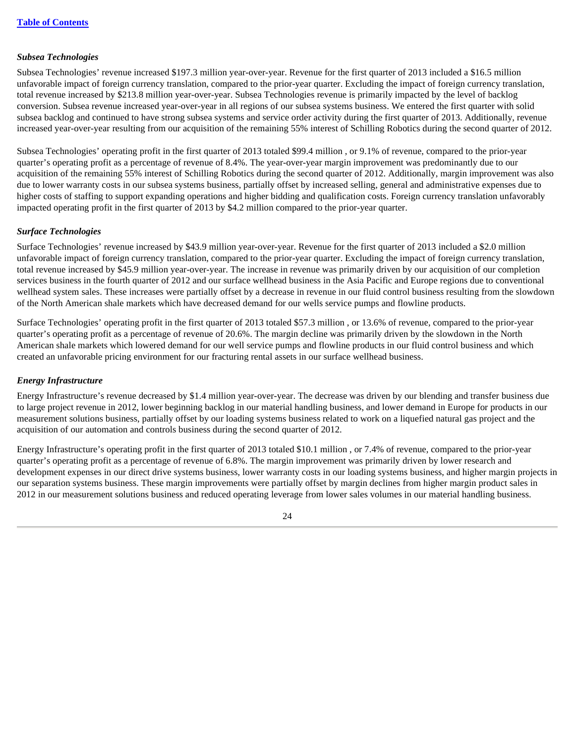#### *Subsea Technologies*

Subsea Technologies' revenue increased \$197.3 million year-over-year. Revenue for the first quarter of 2013 included a \$16.5 million unfavorable impact of foreign currency translation, compared to the prior-year quarter. Excluding the impact of foreign currency translation, total revenue increased by \$213.8 million year-over-year. Subsea Technologies revenue is primarily impacted by the level of backlog conversion. Subsea revenue increased year-over-year in all regions of our subsea systems business. We entered the first quarter with solid subsea backlog and continued to have strong subsea systems and service order activity during the first quarter of 2013. Additionally, revenue increased year-over-year resulting from our acquisition of the remaining 55% interest of Schilling Robotics during the second quarter of 2012.

Subsea Technologies' operating profit in the first quarter of 2013 totaled \$99.4 million , or 9.1% of revenue, compared to the prior-year quarter's operating profit as a percentage of revenue of 8.4%. The year-over-year margin improvement was predominantly due to our acquisition of the remaining 55% interest of Schilling Robotics during the second quarter of 2012. Additionally, margin improvement was also due to lower warranty costs in our subsea systems business, partially offset by increased selling, general and administrative expenses due to higher costs of staffing to support expanding operations and higher bidding and qualification costs. Foreign currency translation unfavorably impacted operating profit in the first quarter of 2013 by \$4.2 million compared to the prior-year quarter.

#### *Surface Technologies*

Surface Technologies' revenue increased by \$43.9 million year-over-year. Revenue for the first quarter of 2013 included a \$2.0 million unfavorable impact of foreign currency translation, compared to the prior-year quarter. Excluding the impact of foreign currency translation, total revenue increased by \$45.9 million year-over-year. The increase in revenue was primarily driven by our acquisition of our completion services business in the fourth quarter of 2012 and our surface wellhead business in the Asia Pacific and Europe regions due to conventional wellhead system sales. These increases were partially offset by a decrease in revenue in our fluid control business resulting from the slowdown of the North American shale markets which have decreased demand for our wells service pumps and flowline products.

Surface Technologies' operating profit in the first quarter of 2013 totaled \$57.3 million , or 13.6% of revenue, compared to the prior-year quarter's operating profit as a percentage of revenue of 20.6%. The margin decline was primarily driven by the slowdown in the North American shale markets which lowered demand for our well service pumps and flowline products in our fluid control business and which created an unfavorable pricing environment for our fracturing rental assets in our surface wellhead business.

#### *Energy Infrastructure*

Energy Infrastructure's revenue decreased by \$1.4 million year-over-year. The decrease was driven by our blending and transfer business due to large project revenue in 2012, lower beginning backlog in our material handling business, and lower demand in Europe for products in our measurement solutions business, partially offset by our loading systems business related to work on a liquefied natural gas project and the acquisition of our automation and controls business during the second quarter of 2012.

Energy Infrastructure's operating profit in the first quarter of 2013 totaled \$10.1 million , or 7.4% of revenue, compared to the prior-year quarter's operating profit as a percentage of revenue of 6.8%. The margin improvement was primarily driven by lower research and development expenses in our direct drive systems business, lower warranty costs in our loading systems business, and higher margin projects in our separation systems business. These margin improvements were partially offset by margin declines from higher margin product sales in 2012 in our measurement solutions business and reduced operating leverage from lower sales volumes in our material handling business.

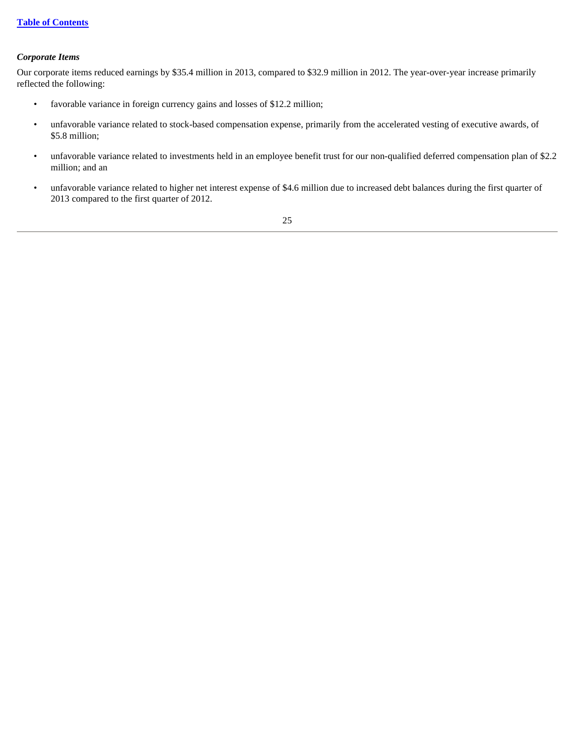#### *Corporate Items*

Our corporate items reduced earnings by \$35.4 million in 2013, compared to \$32.9 million in 2012. The year-over-year increase primarily reflected the following:

- favorable variance in foreign currency gains and losses of \$12.2 million;
- unfavorable variance related to stock-based compensation expense, primarily from the accelerated vesting of executive awards, of \$5.8 million;
- unfavorable variance related to investments held in an employee benefit trust for our non-qualified deferred compensation plan of \$2.2 million; and an
- unfavorable variance related to higher net interest expense of \$4.6 million due to increased debt balances during the first quarter of 2013 compared to the first quarter of 2012.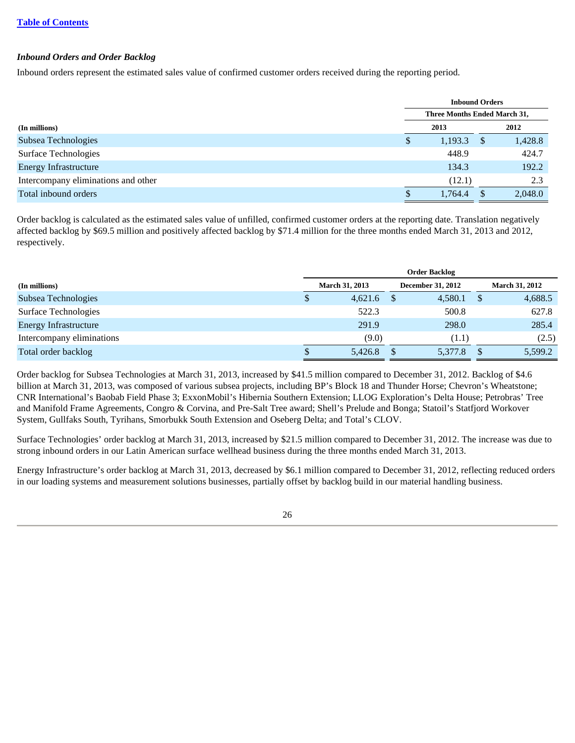# *Inbound Orders and Order Backlog*

Inbound orders represent the estimated sales value of confirmed customer orders received during the reporting period.

|                                     | <b>Inbound Orders</b>        |         |               |         |  |  |  |
|-------------------------------------|------------------------------|---------|---------------|---------|--|--|--|
|                                     | Three Months Ended March 31, |         |               |         |  |  |  |
| (In millions)                       |                              | 2013    |               | 2012    |  |  |  |
| Subsea Technologies                 | Φ                            | 1,193.3 | <sup>\$</sup> | 1,428.8 |  |  |  |
| Surface Technologies                |                              | 448.9   |               | 424.7   |  |  |  |
| <b>Energy Infrastructure</b>        |                              | 134.3   |               | 192.2   |  |  |  |
| Intercompany eliminations and other |                              | (12.1)  |               | 2.3     |  |  |  |
| Total inbound orders                |                              | 1,764.4 | <b>S</b>      | 2,048.0 |  |  |  |

Order backlog is calculated as the estimated sales value of unfilled, confirmed customer orders at the reporting date. Translation negatively affected backlog by \$69.5 million and positively affected backlog by \$71.4 million for the three months ended March 31, 2013 and 2012, respectively.

|                              | <b>Order Backlog</b> |                       |                          |         |  |                       |  |  |  |  |
|------------------------------|----------------------|-----------------------|--------------------------|---------|--|-----------------------|--|--|--|--|
| (In millions)                |                      | <b>March 31, 2013</b> | <b>December 31, 2012</b> |         |  | <b>March 31, 2012</b> |  |  |  |  |
| Subsea Technologies          | Φ                    | 4,621.6               |                          | 4,580.1 |  | 4,688.5               |  |  |  |  |
| Surface Technologies         |                      | 522.3                 |                          | 500.8   |  | 627.8                 |  |  |  |  |
| <b>Energy Infrastructure</b> |                      | 291.9                 |                          | 298.0   |  | 285.4                 |  |  |  |  |
| Intercompany eliminations    |                      | (9.0)                 |                          | (1.1)   |  | (2.5)                 |  |  |  |  |
| Total order backlog          |                      | 5,426.8               |                          | 5,377.8 |  | 5,599.2               |  |  |  |  |

Order backlog for Subsea Technologies at March 31, 2013, increased by \$41.5 million compared to December 31, 2012. Backlog of \$4.6 billion at March 31, 2013, was composed of various subsea projects, including BP's Block 18 and Thunder Horse; Chevron's Wheatstone; CNR International's Baobab Field Phase 3; ExxonMobil's Hibernia Southern Extension; LLOG Exploration's Delta House; Petrobras' Tree and Manifold Frame Agreements, Congro & Corvina, and Pre-Salt Tree award; Shell's Prelude and Bonga; Statoil's Statfjord Workover System, Gullfaks South, Tyrihans, Smorbukk South Extension and Oseberg Delta; and Total's CLOV.

Surface Technologies' order backlog at March 31, 2013, increased by \$21.5 million compared to December 31, 2012. The increase was due to strong inbound orders in our Latin American surface wellhead business during the three months ended March 31, 2013.

Energy Infrastructure's order backlog at March 31, 2013, decreased by \$6.1 million compared to December 31, 2012, reflecting reduced orders in our loading systems and measurement solutions businesses, partially offset by backlog build in our material handling business.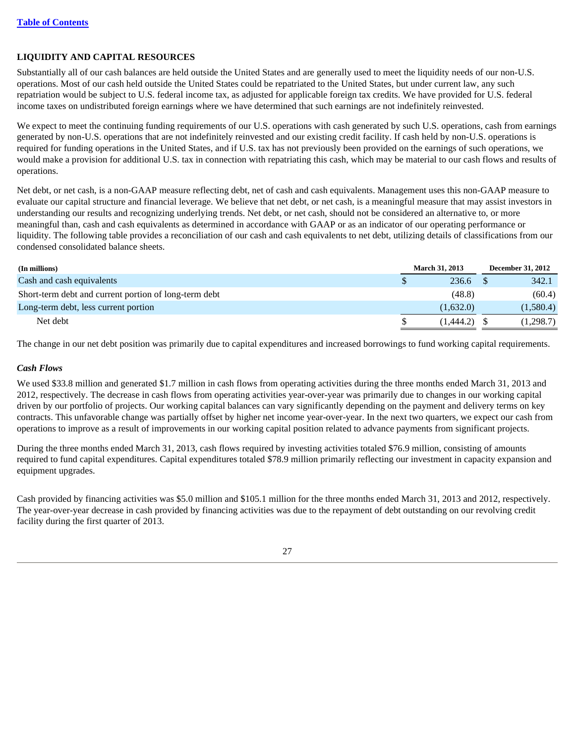# **LIQUIDITY AND CAPITAL RESOURCES**

Substantially all of our cash balances are held outside the United States and are generally used to meet the liquidity needs of our non-U.S. operations. Most of our cash held outside the United States could be repatriated to the United States, but under current law, any such repatriation would be subject to U.S. federal income tax, as adjusted for applicable foreign tax credits. We have provided for U.S. federal income taxes on undistributed foreign earnings where we have determined that such earnings are not indefinitely reinvested.

We expect to meet the continuing funding requirements of our U.S. operations with cash generated by such U.S. operations, cash from earnings generated by non-U.S. operations that are not indefinitely reinvested and our existing credit facility. If cash held by non-U.S. operations is required for funding operations in the United States, and if U.S. tax has not previously been provided on the earnings of such operations, we would make a provision for additional U.S. tax in connection with repatriating this cash, which may be material to our cash flows and results of operations.

Net debt, or net cash, is a non-GAAP measure reflecting debt, net of cash and cash equivalents. Management uses this non-GAAP measure to evaluate our capital structure and financial leverage. We believe that net debt, or net cash, is a meaningful measure that may assist investors in understanding our results and recognizing underlying trends. Net debt, or net cash, should not be considered an alternative to, or more meaningful than, cash and cash equivalents as determined in accordance with GAAP or as an indicator of our operating performance or liquidity. The following table provides a reconciliation of our cash and cash equivalents to net debt, utilizing details of classifications from our condensed consolidated balance sheets.

| (In millions)                                         | <b>March 31, 2013</b> |  | <b>December 31, 2012</b> |  |  |
|-------------------------------------------------------|-----------------------|--|--------------------------|--|--|
| Cash and cash equivalents                             | 236.6                 |  | 342.1                    |  |  |
| Short-term debt and current portion of long-term debt | (48.8)                |  | (60.4)                   |  |  |
| Long-term debt, less current portion                  | (1,632.0)             |  | (1,580.4)                |  |  |
| Net debt                                              | (1.444.2)             |  | (1,298.7)                |  |  |

The change in our net debt position was primarily due to capital expenditures and increased borrowings to fund working capital requirements.

#### *Cash Flows*

We used \$33.8 million and generated \$1.7 million in cash flows from operating activities during the three months ended March 31, 2013 and 2012, respectively. The decrease in cash flows from operating activities year-over-year was primarily due to changes in our working capital driven by our portfolio of projects. Our working capital balances can vary significantly depending on the payment and delivery terms on key contracts. This unfavorable change was partially offset by higher net income year-over-year. In the next two quarters, we expect our cash from operations to improve as a result of improvements in our working capital position related to advance payments from significant projects.

During the three months ended March 31, 2013, cash flows required by investing activities totaled \$76.9 million, consisting of amounts required to fund capital expenditures. Capital expenditures totaled \$78.9 million primarily reflecting our investment in capacity expansion and equipment upgrades.

Cash provided by financing activities was \$5.0 million and \$105.1 million for the three months ended March 31, 2013 and 2012, respectively. The year-over-year decrease in cash provided by financing activities was due to the repayment of debt outstanding on our revolving credit facility during the first quarter of 2013.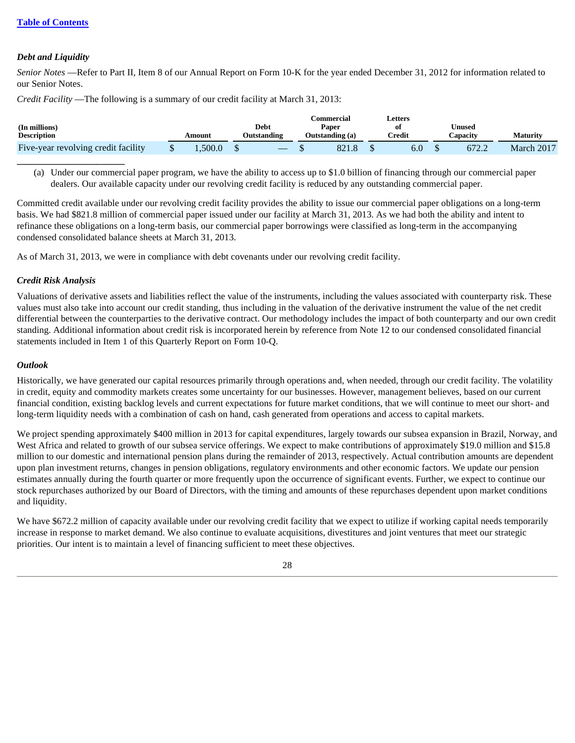#### *Debt and Liquidity*

**\_\_\_\_\_\_\_\_\_\_\_\_\_\_\_\_\_\_\_\_\_\_\_** 

*Senior Notes* —Refer to Part II, Item 8 of our Annual Report on Form 10-K for the year ended December 31, 2012 for information related to our Senior Notes.

*Credit Facility* —The following is a summary of our credit facility at March 31, 2013:

| (In millions)                       |        | Debt        | <b>Commercial</b><br>Paper | <b>Letters</b><br>01 | Unused          |            |
|-------------------------------------|--------|-------------|----------------------------|----------------------|-----------------|------------|
| <b>Description</b>                  | Amount | Outstanding | <b>Outstanding</b> (a)     | $T_{\text{redit}}$   | <b>Capacity</b> | Maturitv   |
| Five-year revolving credit facility | .500.0 |             |                            | o.u                  | 672.2           | March 2017 |

(a) Under our commercial paper program, we have the ability to access up to \$1.0 billion of financing through our commercial paper dealers. Our available capacity under our revolving credit facility is reduced by any outstanding commercial paper.

Committed credit available under our revolving credit facility provides the ability to issue our commercial paper obligations on a long-term basis. We had \$821.8 million of commercial paper issued under our facility at March 31, 2013. As we had both the ability and intent to refinance these obligations on a long-term basis, our commercial paper borrowings were classified as long-term in the accompanying condensed consolidated balance sheets at March 31, 2013.

As of March 31, 2013, we were in compliance with debt covenants under our revolving credit facility.

#### *Credit Risk Analysis*

Valuations of derivative assets and liabilities reflect the value of the instruments, including the values associated with counterparty risk. These values must also take into account our credit standing, thus including in the valuation of the derivative instrument the value of the net credit differential between the counterparties to the derivative contract. Our methodology includes the impact of both counterparty and our own credit standing. Additional information about credit risk is incorporated herein by reference from Note 12 to our condensed consolidated financial statements included in Item 1 of this Quarterly Report on Form 10-Q.

#### *Outlook*

Historically, we have generated our capital resources primarily through operations and, when needed, through our credit facility. The volatility in credit, equity and commodity markets creates some uncertainty for our businesses. However, management believes, based on our current financial condition, existing backlog levels and current expectations for future market conditions, that we will continue to meet our short- and long-term liquidity needs with a combination of cash on hand, cash generated from operations and access to capital markets.

We project spending approximately \$400 million in 2013 for capital expenditures, largely towards our subsea expansion in Brazil, Norway, and West Africa and related to growth of our subsea service offerings. We expect to make contributions of approximately \$19.0 million and \$15.8 million to our domestic and international pension plans during the remainder of 2013, respectively. Actual contribution amounts are dependent upon plan investment returns, changes in pension obligations, regulatory environments and other economic factors. We update our pension estimates annually during the fourth quarter or more frequently upon the occurrence of significant events. Further, we expect to continue our stock repurchases authorized by our Board of Directors, with the timing and amounts of these repurchases dependent upon market conditions and liquidity.

We have \$672.2 million of capacity available under our revolving credit facility that we expect to utilize if working capital needs temporarily increase in response to market demand. We also continue to evaluate acquisitions, divestitures and joint ventures that meet our strategic priorities. Our intent is to maintain a level of financing sufficient to meet these objectives.

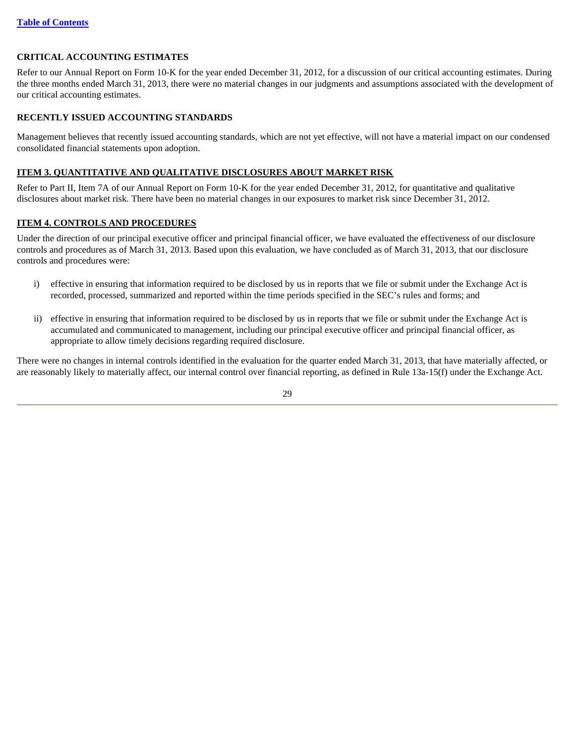# **CRITICAL ACCOUNTING ESTIMATES**

Refer to our Annual Report on Form 10-K for the year ended December 31, 2012, for a discussion of our critical accounting estimates. During the three months ended March 31, 2013, there were no material changes in our judgments and assumptions associated with the development of our critical accounting estimates.

# **RECENTLY ISSUED ACCOUNTING STANDARDS**

Management believes that recently issued accounting standards, which are not yet effective, will not have a material impact on our condensed consolidated financial statements upon adoption.

# **ITEM 3. QUANTITATIVE AND QUALITATIVE DISCLOSURES ABOUT MARKET RISK**

Refer to Part II, Item 7A of our Annual Report on Form 10-K for the year ended December 31, 2012, for quantitative and qualitative disclosures about market risk. There have been no material changes in our exposures to market risk since December 31, 2012.

# **ITEM 4. CONTROLS AND PROCEDURES**

Under the direction of our principal executive officer and principal financial officer, we have evaluated the effectiveness of our disclosure controls and procedures as of March 31, 2013. Based upon this evaluation, we have concluded as of March 31, 2013, that our disclosure controls and procedures were:

- i) effective in ensuring that information required to be disclosed by us in reports that we file or submit under the Exchange Act is recorded, processed, summarized and reported within the time periods specified in the SEC's rules and forms; and
- ii) effective in ensuring that information required to be disclosed by us in reports that we file or submit under the Exchange Act is accumulated and communicated to management, including our principal executive officer and principal financial officer, as appropriate to allow timely decisions regarding required disclosure.

There were no changes in internal controls identified in the evaluation for the quarter ended March 31, 2013, that have materially affected, or are reasonably likely to materially affect, our internal control over financial reporting, as defined in Rule 13a-15(f) under the Exchange Act.

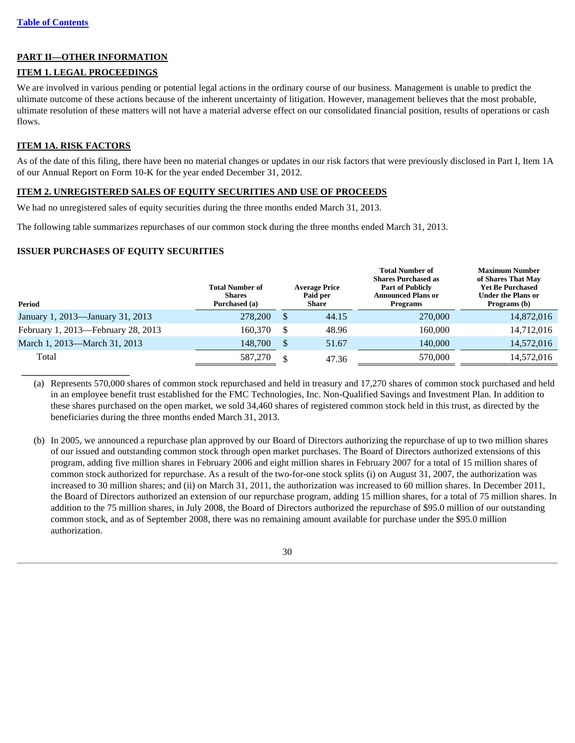# **PART II—OTHER INFORMATION**

# **ITEM 1. LEGAL PROCEEDINGS**

We are involved in various pending or potential legal actions in the ordinary course of our business. Management is unable to predict the ultimate outcome of these actions because of the inherent uncertainty of litigation. However, management believes that the most probable, ultimate resolution of these matters will not have a material adverse effect on our consolidated financial position, results of operations or cash flows.

#### **ITEM 1A. RISK FACTORS**

**\_\_\_\_\_\_\_\_\_\_\_\_\_\_\_\_\_\_\_\_\_\_\_** 

As of the date of this filing, there have been no material changes or updates in our risk factors that were previously disclosed in Part I, Item 1A of our Annual Report on Form 10-K for the year ended December 31, 2012.

#### **ITEM 2. UNREGISTERED SALES OF EQUITY SECURITIES AND USE OF PROCEEDS**

We had no unregistered sales of equity securities during the three months ended March 31, 2013.

The following table summarizes repurchases of our common stock during the three months ended March 31, 2013.

#### **ISSUER PURCHASES OF EQUITY SECURITIES**

| Period                             | <b>Total Number of</b><br><b>Shares</b><br>Purchased (a) |  | <b>Average Price</b><br>Paid per<br>Share | <b>Total Number of</b><br><b>Shares Purchased as</b><br><b>Part of Publicly</b><br><b>Announced Plans or</b><br><b>Programs</b> | <b>Maximum Number</b><br>of Shares That May<br><b>Yet Be Purchased</b><br><b>Under the Plans or</b><br>Programs (b) |  |
|------------------------------------|----------------------------------------------------------|--|-------------------------------------------|---------------------------------------------------------------------------------------------------------------------------------|---------------------------------------------------------------------------------------------------------------------|--|
| January 1, 2013—January 31, 2013   | 278,200                                                  |  | 44.15                                     | 270,000                                                                                                                         | 14,872,016                                                                                                          |  |
| February 1, 2013—February 28, 2013 | 160.370                                                  |  | 48.96                                     | 160,000                                                                                                                         | 14,712,016                                                                                                          |  |
| March 1, 2013—March 31, 2013       | 148,700                                                  |  | 51.67                                     | 140,000                                                                                                                         | 14,572,016                                                                                                          |  |
| Total                              | 587,270                                                  |  | 47.36                                     | 570,000                                                                                                                         | 14,572,016                                                                                                          |  |
|                                    |                                                          |  |                                           |                                                                                                                                 |                                                                                                                     |  |

(a) Represents 570,000 shares of common stock repurchased and held in treasury and 17,270 shares of common stock purchased and held in an employee benefit trust established for the FMC Technologies, Inc. Non-Qualified Savings and Investment Plan. In addition to these shares purchased on the open market, we sold 34,460 shares of registered common stock held in this trust, as directed by the beneficiaries during the three months ended March 31, 2013.

(b) In 2005, we announced a repurchase plan approved by our Board of Directors authorizing the repurchase of up to two million shares of our issued and outstanding common stock through open market purchases. The Board of Directors authorized extensions of this program, adding five million shares in February 2006 and eight million shares in February 2007 for a total of 15 million shares of common stock authorized for repurchase. As a result of the two-for-one stock splits (i) on August 31, 2007, the authorization was increased to 30 million shares; and (ii) on March 31, 2011, the authorization was increased to 60 million shares. In December 2011, the Board of Directors authorized an extension of our repurchase program, adding 15 million shares, for a total of 75 million shares. In addition to the 75 million shares, in July 2008, the Board of Directors authorized the repurchase of \$95.0 million of our outstanding common stock, and as of September 2008, there was no remaining amount available for purchase under the \$95.0 million authorization.

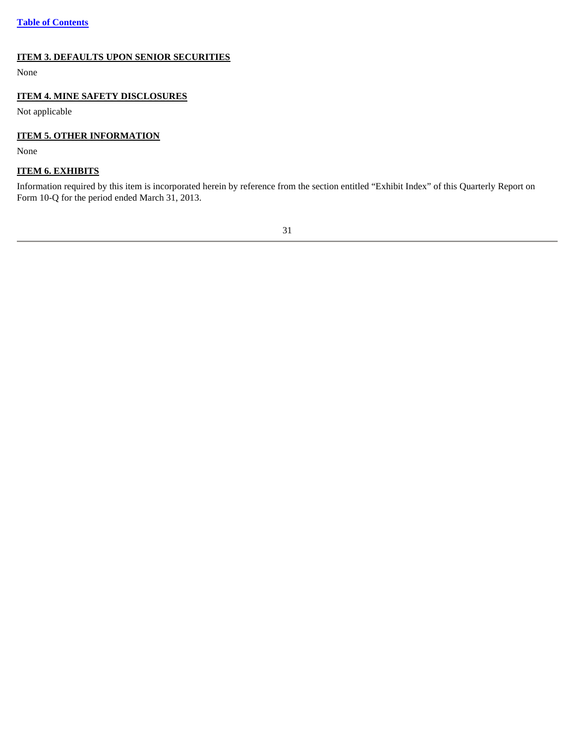# **ITEM 3. DEFAULTS UPON SENIOR SECURITIES**

None

# **ITEM 4. MINE SAFETY DISCLOSURES**

Not applicable

# **ITEM 5. OTHER INFORMATION**

None

# **ITEM 6. EXHIBITS**

Information required by this item is incorporated herein by reference from the section entitled "Exhibit Index" of this Quarterly Report on Form 10-Q for the period ended March 31, 2013.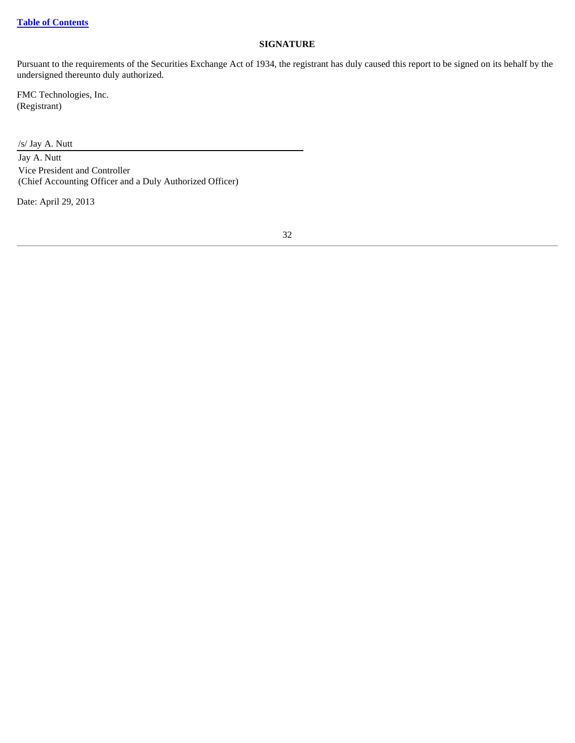#### **SIGNATURE**

Pursuant to the requirements of the Securities Exchange Act of 1934, the registrant has duly caused this report to be signed on its behalf by the undersigned thereunto duly authorized.

FMC Technologies, Inc. (Registrant)

/s/ Jay A. Nutt

Jay A. Nutt Vice President and Controller (Chief Accounting Officer and a Duly Authorized Officer)

Date: April 29, 2013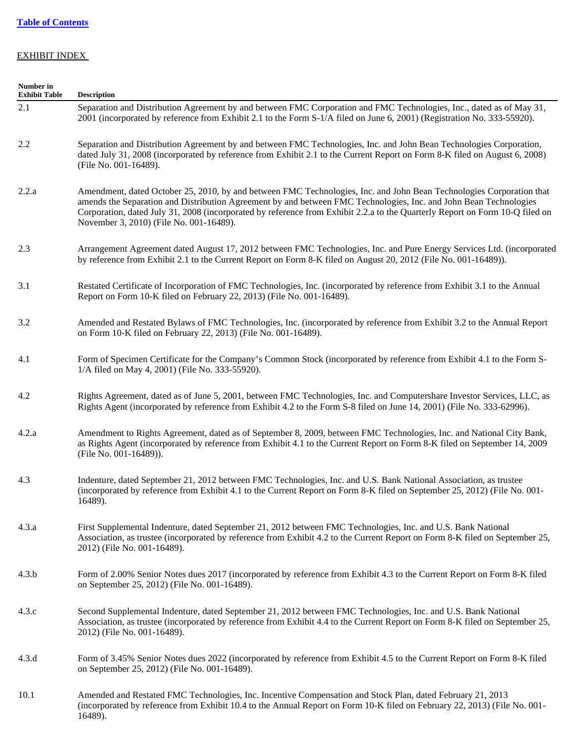#### EXHIBIT INDEX

| Number in<br><b>Exhibit Table</b> | <b>Description</b>                                                                                                                                                                                                                                                                                                                                                                                                   |
|-----------------------------------|----------------------------------------------------------------------------------------------------------------------------------------------------------------------------------------------------------------------------------------------------------------------------------------------------------------------------------------------------------------------------------------------------------------------|
| 2.1                               | Separation and Distribution Agreement by and between FMC Corporation and FMC Technologies, Inc., dated as of May 31,<br>2001 (incorporated by reference from Exhibit 2.1 to the Form S-1/A filed on June 6, 2001) (Registration No. 333-55920).                                                                                                                                                                      |
| 2.2                               | Separation and Distribution Agreement by and between FMC Technologies, Inc. and John Bean Technologies Corporation,<br>dated July 31, 2008 (incorporated by reference from Exhibit 2.1 to the Current Report on Form 8-K filed on August 6, 2008)<br>(File No. 001-16489).                                                                                                                                           |
| 2.2.a                             | Amendment, dated October 25, 2010, by and between FMC Technologies, Inc. and John Bean Technologies Corporation that<br>amends the Separation and Distribution Agreement by and between FMC Technologies, Inc. and John Bean Technologies<br>Corporation, dated July 31, 2008 (incorporated by reference from Exhibit 2.2.a to the Quarterly Report on Form 10-Q filed on<br>November 3, 2010) (File No. 001-16489). |
| 2.3                               | Arrangement Agreement dated August 17, 2012 between FMC Technologies, Inc. and Pure Energy Services Ltd. (incorporated<br>by reference from Exhibit 2.1 to the Current Report on Form 8-K filed on August 20, 2012 (File No. 001-16489)).                                                                                                                                                                            |
| 3.1                               | Restated Certificate of Incorporation of FMC Technologies, Inc. (incorporated by reference from Exhibit 3.1 to the Annual<br>Report on Form 10-K filed on February 22, 2013) (File No. 001-16489).                                                                                                                                                                                                                   |
| 3.2                               | Amended and Restated Bylaws of FMC Technologies, Inc. (incorporated by reference from Exhibit 3.2 to the Annual Report<br>on Form 10-K filed on February 22, 2013) (File No. 001-16489).                                                                                                                                                                                                                             |
| 4.1                               | Form of Specimen Certificate for the Company's Common Stock (incorporated by reference from Exhibit 4.1 to the Form S-<br>1/A filed on May 4, 2001) (File No. 333-55920).                                                                                                                                                                                                                                            |
| 4.2                               | Rights Agreement, dated as of June 5, 2001, between FMC Technologies, Inc. and Computershare Investor Services, LLC, as<br>Rights Agent (incorporated by reference from Exhibit 4.2 to the Form S-8 filed on June 14, 2001) (File No. 333-62996).                                                                                                                                                                    |
| 4.2.a                             | Amendment to Rights Agreement, dated as of September 8, 2009, between FMC Technologies, Inc. and National City Bank,<br>as Rights Agent (incorporated by reference from Exhibit 4.1 to the Current Report on Form 8-K filed on September 14, 2009<br>(File No. 001-16489)).                                                                                                                                          |
| 4.3                               | Indenture, dated September 21, 2012 between FMC Technologies, Inc. and U.S. Bank National Association, as trustee<br>(incorporated by reference from Exhibit 4.1 to the Current Report on Form 8-K filed on September 25, 2012) (File No. 001-<br>16489).                                                                                                                                                            |
| 4.3.a                             | First Supplemental Indenture, dated September 21, 2012 between FMC Technologies, Inc. and U.S. Bank National<br>Association, as trustee (incorporated by reference from Exhibit 4.2 to the Current Report on Form 8-K filed on September 25,<br>2012) (File No. 001-16489).                                                                                                                                          |
| 4.3.b                             | Form of 2.00% Senior Notes dues 2017 (incorporated by reference from Exhibit 4.3 to the Current Report on Form 8-K filed<br>on September 25, 2012) (File No. 001-16489).                                                                                                                                                                                                                                             |
| 4.3.c                             | Second Supplemental Indenture, dated September 21, 2012 between FMC Technologies, Inc. and U.S. Bank National<br>Association, as trustee (incorporated by reference from Exhibit 4.4 to the Current Report on Form 8-K filed on September 25,<br>2012) (File No. 001-16489).                                                                                                                                         |
| 4.3.d                             | Form of 3.45% Senior Notes dues 2022 (incorporated by reference from Exhibit 4.5 to the Current Report on Form 8-K filed<br>on September 25, 2012) (File No. 001-16489).                                                                                                                                                                                                                                             |
| 10.1                              | Amended and Restated FMC Technologies, Inc. Incentive Compensation and Stock Plan, dated February 21, 2013                                                                                                                                                                                                                                                                                                           |

(incorporated by reference from Exhibit 10.4 to the Annual Report on Form 10-K filed on February 22, 2013) (File No. 001- 16489).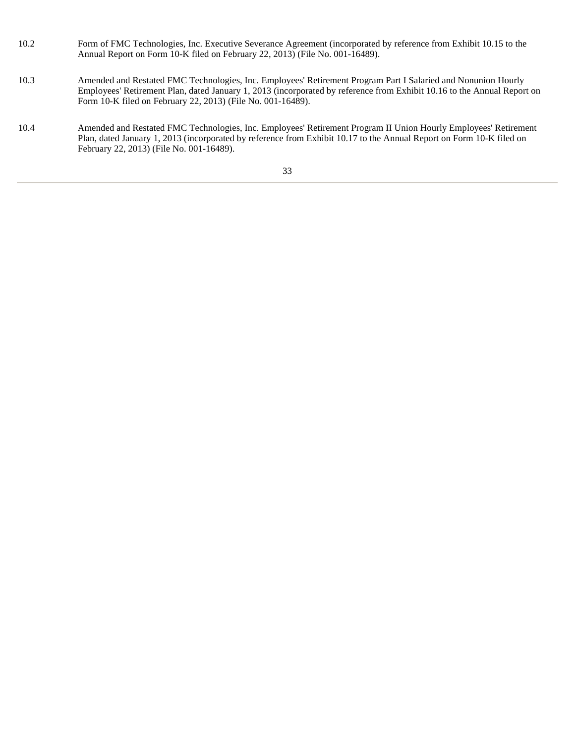- 10.2 Form of FMC Technologies, Inc. Executive Severance Agreement (incorporated by reference from Exhibit 10.15 to the Annual Report on Form 10-K filed on February 22, 2013) (File No. 001-16489).
- 10.3 Amended and Restated FMC Technologies, Inc. Employees' Retirement Program Part I Salaried and Nonunion Hourly Employees' Retirement Plan, dated January 1, 2013 (incorporated by reference from Exhibit 10.16 to the Annual Report on Form 10-K filed on February 22, 2013) (File No. 001-16489).
- 10.4 Amended and Restated FMC Technologies, Inc. Employees' Retirement Program II Union Hourly Employees' Retirement Plan, dated January 1, 2013 (incorporated by reference from Exhibit 10.17 to the Annual Report on Form 10-K filed on February 22, 2013) (File No. 001-16489).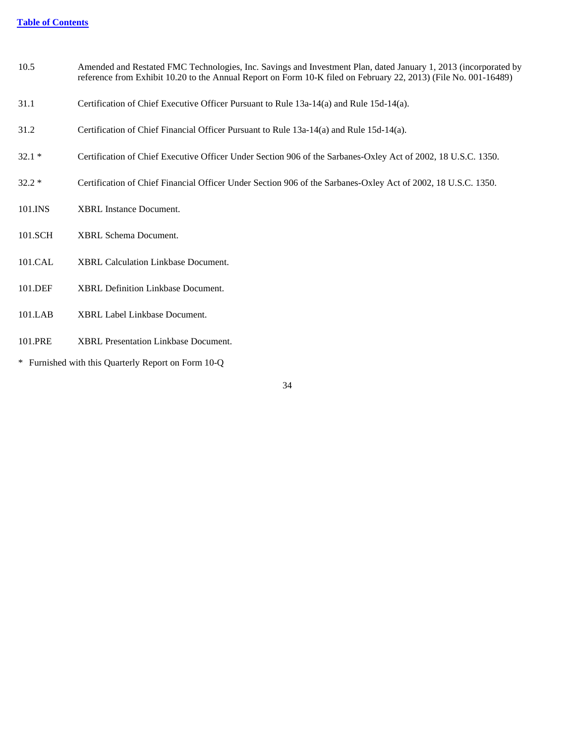- 10.5 Amended and Restated FMC Technologies, Inc. Savings and Investment Plan, dated January 1, 2013 (incorporated by reference from Exhibit 10.20 to the Annual Report on Form 10-K filed on February 22, 2013) (File No. 001-16489)
- 31.1 Certification of Chief Executive Officer Pursuant to Rule 13a-14(a) and Rule 15d-14(a).
- 31.2 Certification of Chief Financial Officer Pursuant to Rule 13a-14(a) and Rule 15d-14(a).
- 32.1 \* Certification of Chief Executive Officer Under Section 906 of the Sarbanes-Oxley Act of 2002, 18 U.S.C. 1350.
- 32.2 \* Certification of Chief Financial Officer Under Section 906 of the Sarbanes-Oxley Act of 2002, 18 U.S.C. 1350.
- 101.INS XBRL Instance Document.
- 101.SCH XBRL Schema Document.
- 101.CAL XBRL Calculation Linkbase Document.
- 101.DEF XBRL Definition Linkbase Document.
- 101.LAB XBRL Label Linkbase Document.
- 101.PRE XBRL Presentation Linkbase Document.
- \* Furnished with this Quarterly Report on Form 10-Q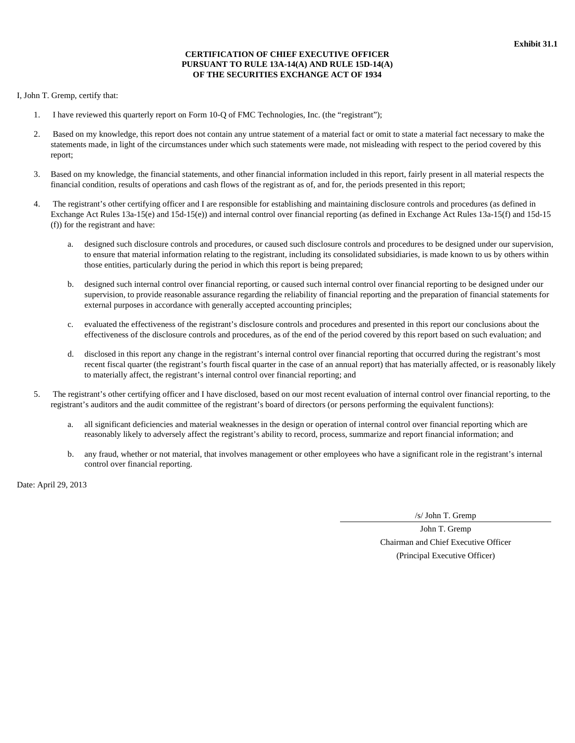#### **CERTIFICATION OF CHIEF EXECUTIVE OFFICER PURSUANT TO RULE 13A-14(A) AND RULE 15D-14(A) OF THE SECURITIES EXCHANGE ACT OF 1934**

I, John T. Gremp, certify that:

- 1. I have reviewed this quarterly report on Form 10-Q of FMC Technologies, Inc. (the "registrant");
- 2. Based on my knowledge, this report does not contain any untrue statement of a material fact or omit to state a material fact necessary to make the statements made, in light of the circumstances under which such statements were made, not misleading with respect to the period covered by this report;
- 3. Based on my knowledge, the financial statements, and other financial information included in this report, fairly present in all material respects the financial condition, results of operations and cash flows of the registrant as of, and for, the periods presented in this report;
- 4. The registrant's other certifying officer and I are responsible for establishing and maintaining disclosure controls and procedures (as defined in Exchange Act Rules 13a-15(e) and 15d-15(e)) and internal control over financial reporting (as defined in Exchange Act Rules 13a-15(f) and 15d-15 (f)) for the registrant and have:
	- a. designed such disclosure controls and procedures, or caused such disclosure controls and procedures to be designed under our supervision, to ensure that material information relating to the registrant, including its consolidated subsidiaries, is made known to us by others within those entities, particularly during the period in which this report is being prepared;
	- b. designed such internal control over financial reporting, or caused such internal control over financial reporting to be designed under our supervision, to provide reasonable assurance regarding the reliability of financial reporting and the preparation of financial statements for external purposes in accordance with generally accepted accounting principles;
	- c. evaluated the effectiveness of the registrant's disclosure controls and procedures and presented in this report our conclusions about the effectiveness of the disclosure controls and procedures, as of the end of the period covered by this report based on such evaluation; and
	- d. disclosed in this report any change in the registrant's internal control over financial reporting that occurred during the registrant's most recent fiscal quarter (the registrant's fourth fiscal quarter in the case of an annual report) that has materially affected, or is reasonably likely to materially affect, the registrant's internal control over financial reporting; and
- 5. The registrant's other certifying officer and I have disclosed, based on our most recent evaluation of internal control over financial reporting, to the registrant's auditors and the audit committee of the registrant's board of directors (or persons performing the equivalent functions):
	- a. all significant deficiencies and material weaknesses in the design or operation of internal control over financial reporting which are reasonably likely to adversely affect the registrant's ability to record, process, summarize and report financial information; and
	- b. any fraud, whether or not material, that involves management or other employees who have a significant role in the registrant's internal control over financial reporting.

Date: April 29, 2013

/s/ John T. Gremp

John T. Gremp Chairman and Chief Executive Officer (Principal Executive Officer)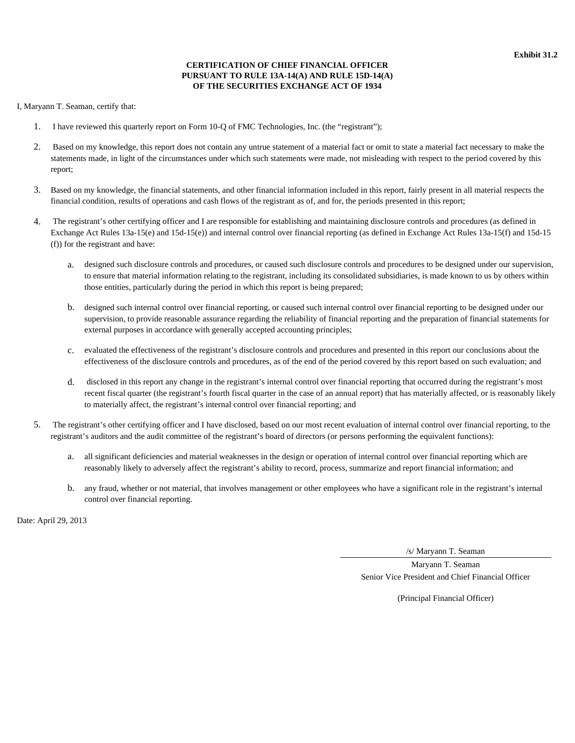#### **CERTIFICATION OF CHIEF FINANCIAL OFFICER PURSUANT TO RULE 13A-14(A) AND RULE 15D-14(A) OF THE SECURITIES EXCHANGE ACT OF 1934**

I, Maryann T. Seaman, certify that:

- 1. I have reviewed this quarterly report on Form 10-Q of FMC Technologies, Inc. (the "registrant");
- 2. Based on my knowledge, this report does not contain any untrue statement of a material fact or omit to state a material fact necessary to make the statements made, in light of the circumstances under which such statements were made, not misleading with respect to the period covered by this report;
- 3. Based on my knowledge, the financial statements, and other financial information included in this report, fairly present in all material respects the financial condition, results of operations and cash flows of the registrant as of, and for, the periods presented in this report;
- 4. The registrant's other certifying officer and I are responsible for establishing and maintaining disclosure controls and procedures (as defined in Exchange Act Rules 13a-15(e) and 15d-15(e)) and internal control over financial reporting (as defined in Exchange Act Rules 13a-15(f) and 15d-15 (f)) for the registrant and have:
	- designed such disclosure controls and procedures, or caused such disclosure controls and procedures to be designed under our supervision, to ensure that material information relating to the registrant, including its consolidated subsidiaries, is made known to us by others within those entities, particularly during the period in which this report is being prepared;
	- b. designed such internal control over financial reporting, or caused such internal control over financial reporting to be designed under our supervision, to provide reasonable assurance regarding the reliability of financial reporting and the preparation of financial statements for external purposes in accordance with generally accepted accounting principles;
	- c. evaluated the effectiveness of the registrant's disclosure controls and procedures and presented in this report our conclusions about the effectiveness of the disclosure controls and procedures, as of the end of the period covered by this report based on such evaluation; and
	- d. disclosed in this report any change in the registrant's internal control over financial reporting that occurred during the registrant's most recent fiscal quarter (the registrant's fourth fiscal quarter in the case of an annual report) that has materially affected, or is reasonably likely to materially affect, the registrant's internal control over financial reporting; and
- 5. The registrant's other certifying officer and I have disclosed, based on our most recent evaluation of internal control over financial reporting, to the registrant's auditors and the audit committee of the registrant's board of directors (or persons performing the equivalent functions):
	- a. all significant deficiencies and material weaknesses in the design or operation of internal control over financial reporting which are reasonably likely to adversely affect the registrant's ability to record, process, summarize and report financial information; and
	- b. any fraud, whether or not material, that involves management or other employees who have a significant role in the registrant's internal control over financial reporting.

Date: April 29, 2013

/s/ Maryann T. Seaman

 Maryann T. Seaman Senior Vice President and Chief Financial Officer

(Principal Financial Officer)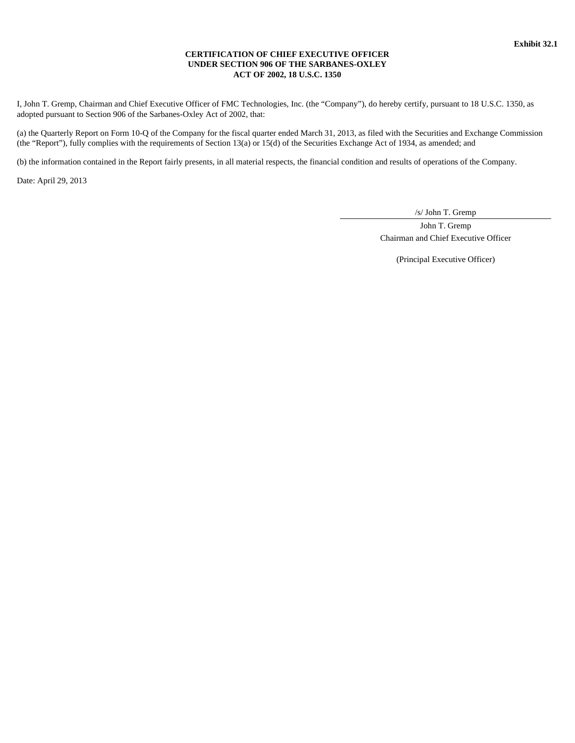#### **CERTIFICATION OF CHIEF EXECUTIVE OFFICER UNDER SECTION 906 OF THE SARBANES-OXLEY ACT OF 2002, 18 U.S.C. 1350**

I, John T. Gremp, Chairman and Chief Executive Officer of FMC Technologies, Inc. (the "Company"), do hereby certify, pursuant to 18 U.S.C. 1350, as adopted pursuant to Section 906 of the Sarbanes-Oxley Act of 2002, that:

(a) the Quarterly Report on Form 10-Q of the Company for the fiscal quarter ended March 31, 2013, as filed with the Securities and Exchange Commission (the "Report"), fully complies with the requirements of Section 13(a) or 15(d) of the Securities Exchange Act of 1934, as amended; and

(b) the information contained in the Report fairly presents, in all material respects, the financial condition and results of operations of the Company.

Date: April 29, 2013

/s/ John T. Gremp

 John T. Gremp Chairman and Chief Executive Officer

(Principal Executive Officer)